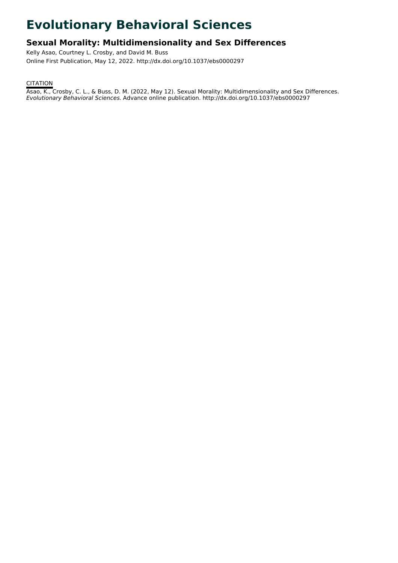# **Evolutionary Behavioral Sciences**

# **Sexual Morality: Multidimensionality and Sex Differences**

Kelly Asao, Courtney L. Crosby, and David M. Buss Online First Publication, May 12, 2022. http://dx.doi.org/10.1037/ebs0000297

### **CITATION**

Asao, K., Crosby, C. L., & Buss, D. M. (2022, May 12). Sexual Morality: Multidimensionality and Sex Differences. Evolutionary Behavioral Sciences. Advance online publication. http://dx.doi.org/10.1037/ebs0000297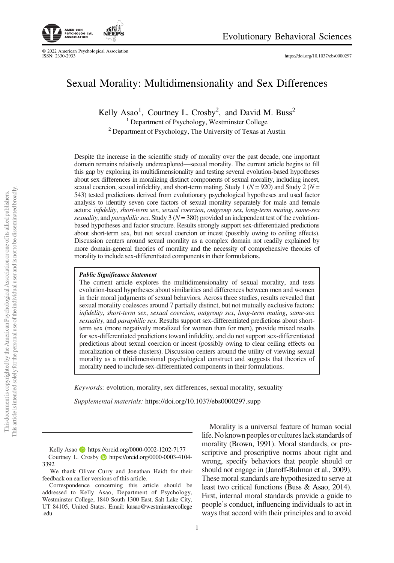© 2022 American Psychological Association

<https://doi.org/10.1037/ebs0000297>

## Sexual Morality: Multidimensionality and Sex Differences

Kelly Asao<sup>1</sup>, Courtney L. Crosby<sup>2</sup>, and David M. Buss<sup>2</sup> <sup>1</sup> Department of Psychology, Westminster College <sup>2</sup> Department of Psychology, The University of Texas at Austin

Despite the increase in the scientific study of morality over the past decade, one important domain remains relatively underexplored—sexual morality. The current article begins to fill this gap by exploring its multidimensionality and testing several evolution-based hypotheses about sex differences in moralizing distinct components of sexual morality, including incest, sexual coercion, sexual infidelity, and short-term mating. Study 1 ( $N = 920$ ) and Study 2 ( $N =$ 543) tested predictions derived from evolutionary psychological hypotheses and used factor analysis to identify seven core factors of sexual morality separately for male and female actors: infidelity, short-term sex, sexual coercion, outgroup sex, long-term mating, same-sex sexuality, and paraphilic sex. Study 3 ( $N = 380$ ) provided an independent test of the evolutionbased hypotheses and factor structure. Results strongly support sex-differentiated predictions about short-term sex, but not sexual coercion or incest (possibly owing to ceiling effects). Discussion centers around sexual morality as a complex domain not readily explained by more domain-general theories of morality and the necessity of comprehensive theories of morality to include sex-differentiated components in their formulations.

#### Public Significance Statement

The current article explores the multidimensionality of sexual morality, and tests evolution-based hypotheses about similarities and differences between men and women in their moral judgments of sexual behaviors. Across three studies, results revealed that sexual morality coalesces around 7 partially distinct, but not mutually exclusive factors: infidelity, short-term sex, sexual coercion, outgroup sex, long-term mating, same-sex sexuality, and *paraphilic sex*. Results support sex-differentiated predictions about shortterm sex (more negatively moralized for women than for men), provide mixed results for sex-differentiated predictions toward infidelity, and do not support sex-differentiated predictions about sexual coercion or incest (possibly owing to clear ceiling effects on moralization of these clusters). Discussion centers around the utility of viewing sexual morality as a multidimensional psychological construct and suggests that theories of morality need to include sex-differentiated components in their formulations.

Keywords: evolution, morality, sex differences, sexual morality, sexuality

Supplemental materials: <https://doi.org/10.1037/ebs0000297.supp>

Kelly Asao **h**ttps://orcid.org/0000-0002-1202-7177 Courtney L. Crosby [https://orcid.org/0000-0003-4104-](https://orcid.org/0000-0003-4104-3392) [3392](https://orcid.org/0000-0003-4104-3392)

We thank Oliver Curry and Jonathan Haidt for their feedback on earlier versions of this article.

Morality is a universal feature of human social life. No known peoples or cultures lack standards of morality (Brown, 1991). Moral standards, or prescriptive and proscriptive norms about right and wrong, specify behaviors that people should or should not engage in (Janoff-Bulman et al., 2009). These moral standards are hypothesized to serve at least two critical functions (Buss & Asao, 2014). First, internal moral standards provide a guide to people's conduct, influencing individuals to act in ways that accord with their principles and to avoid

Correspondence concerning this article should be addressed to Kelly Asao, Department of Psychology, Westminster College, 1840 South 1300 East, Salt Lake City, UT 84105, United States. Email: [kasao@westminstercollege](mailto:kasao@westminstercollege.edu) [.edu](mailto:kasao@westminstercollege.edu)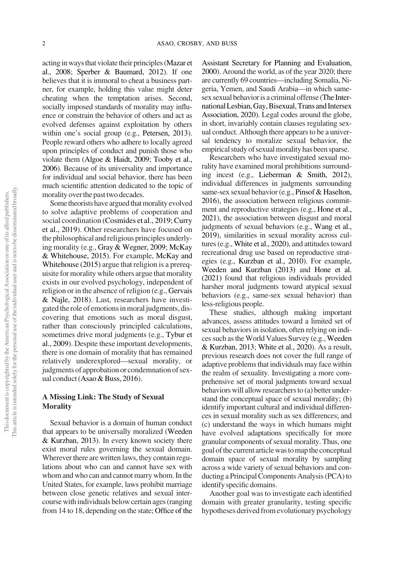acting in ways that violate their principles (Mazar et al., 2008; Sperber & Baumard, 2012). If one believes that it is immoral to cheat a business partner, for example, holding this value might deter cheating when the temptation arises. Second, socially imposed standards of morality may influence or constrain the behavior of others and act as evolved defenses against exploitation by others within one's social group (e.g., Petersen, 2013). People reward others who adhere to locally agreed upon principles of conduct and punish those who violate them (Algoe & Haidt, 2009; Tooby et al., 2006). Because of its universality and importance for individual and social behavior, there has been much scientific attention dedicated to the topic of morality over the past two decades.

Some theorists have argued that morality evolved to solve adaptive problems of cooperation and social coordination (Cosmides et al., 2019; Curry et al., 2019). Other researchers have focused on the philosophical and religious principles underlying morality (e.g., Gray & Wegner, 2009; McKay & Whitehouse, 2015). For example, McKay and Whitehouse (2015) argue that religion is a prerequisite for morality while others argue that morality exists in our evolved psychology, independent of religion or in the absence of religion (e.g., Gervais & Najle, 2018). Last, researchers have investigated the role of emotions in moral judgments, discovering that emotions such as moral disgust, rather than consciously principled calculations, sometimes drive moral judgments (e.g., Tybur et al., 2009). Despite these important developments, there is one domain of morality that has remained relatively underexplored—sexual morality, or judgments of approbation or condemnation of sexual conduct (Asao & Buss, 2016).

#### A Missing Link: The Study of Sexual **Morality**

Sexual behavior is a domain of human conduct that appears to be universally moralized (Weeden & Kurzban, 2013). In every known society there exist moral rules governing the sexual domain. Wherever there are written laws, they contain regulations about who can and cannot have sex with whom and who can and cannot marry whom. In the United States, for example, laws prohibit marriage between close genetic relatives and sexual intercourse with individuals below certain ages (ranging from 14 to 18, depending on the state; Office of the Assistant Secretary for Planning and Evaluation, 2000). Around the world, as of the year 2020; there are currently 69 countries—including Somalia, Nigeria, Yemen, and Saudi Arabia—in which samesex sexual behavior is a criminal offense (The InternationalLesbian,Gay,Bisexual,Trans and Intersex Association, 2020). Legal codes around the globe, in short, invariably contain clauses regulating sexual conduct. Although there appears to be a universal tendency to moralize sexual behavior, the empirical study of sexual morality has been sparse.

Researchers who have investigated sexual morality have examined moral prohibitions surrounding incest (e.g., Lieberman & Smith, 2012), individual differences in judgments surrounding same-sex sexual behavior (e.g., Pinsof & Haselton, 2016), the association between religious commitment and reproductive strategies (e.g., Hone et al., 2021), the association between disgust and moral judgments of sexual behaviors (e.g., Wang et al., 2019), similarities in sexual morality across cultures (e.g., White et al., 2020), and attitudes toward recreational drug use based on reproductive strategies (e.g., Kurzban et al., 2010). For example, Weeden and Kurzban (2013) and Hone et al. (2021) found that religious individuals provided harsher moral judgments toward atypical sexual behaviors (e.g., same-sex sexual behavior) than less-religious people.

These studies, although making important advances, assess attitudes toward a limited set of sexual behaviors in isolation, often relying on indices such as theWorld Values Survey (e.g.,Weeden & Kurzban, 2013; White et al., 2020). As a result, previous research does not cover the full range of adaptive problems that individuals may face within the realm of sexuality. Investigating a more comprehensive set of moral judgments toward sexual behaviors will allow researchers to (a) better understand the conceptual space of sexual morality; (b) identify important cultural and individual differences in sexual morality such as sex differences; and (c) understand the ways in which humans might have evolved adaptations specifically for more granular components of sexual morality. Thus, one goal of the current article was to map the conceptual domain space of sexual morality by sampling across a wide variety of sexual behaviors and conducting a Principal Components Analysis (PCA) to identify specific domains.

Another goal was to investigate each identified domain with greater granularity, testing specific hypotheses derived from evolutionary psychology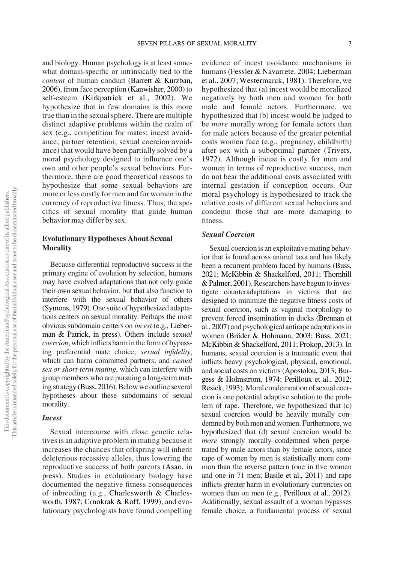and biology. Human psychology is at least somewhat domain-specific or intrinsically tied to the content of human conduct (Barrett & Kurzban, 2006), from face perception (Kanwisher, 2000) to self-esteem (Kirkpatrick et al., 2002). We hypothesize that in few domains is this more true than in the sexual sphere. There are multiple distinct adaptive problems within the realm of sex (e.g., competition for mates; incest avoidance; partner retention; sexual coercion avoidance) that would have been partially solved by a moral psychology designed to influence one's own and other people's sexual behaviors. Furthermore, there are good theoretical reasons to hypothesize that some sexual behaviors are more or less costly for men and for women in the currency of reproductive fitness. Thus, the specifics of sexual morality that guide human behavior may differ by sex.

#### Evolutionary Hypotheses About Sexual **Morality**

Because differential reproductive success is the primary engine of evolution by selection, humans may have evolved adaptations that not only guide their own sexual behavior, but that also function to interfere with the sexual behavior of others (Symons, 1979). One suite of hypothesized adaptations centers on sexual morality. Perhaps the most obvious subdomain centers on incest (e.g., Lieberman & Patrick, in press). Others include sexual coercion, which inflicts harm in the form of bypassing preferential mate choice; sexual infidelity, which can harm committed partners; and *casual* sex or short-term mating, which can interfere with group members who are pursuing a long-term mating strategy (Buss, 2016). Below we outline several hypotheses about these subdomains of sexual morality.

#### **Incest**

Sexual intercourse with close genetic relatives is an adaptive problem in mating because it increases the chances that offspring will inherit deleterious recessive alleles, thus lowering the reproductive success of both parents (Asao, in press). Studies in evolutionary biology have documented the negative fitness consequences of inbreeding (e.g., Charlesworth & Charlesworth, 1987; Crnokrak & Roff, 1999), and evolutionary psychologists have found compelling

evidence of incest avoidance mechanisms in humans (Fessler & Navarrete, 2004; Lieberman et al., 2007; Westermarck, 1981). Therefore, we hypothesized that (a) incest would be moralized negatively by both men and women for both male and female actors. Furthermore, we hypothesized that (b) incest would be judged to be *more* morally wrong for female actors than for male actors because of the greater potential costs women face (e.g., pregnancy, childbirth) after sex with a suboptimal partner (Trivers, 1972). Although incest is costly for men and women in terms of reproductive success, men do not bear the additional costs associated with internal gestation if conception occurs. Our moral psychology is hypothesized to track the relative costs of different sexual behaviors and condemn those that are more damaging to fitness.

#### Sexual Coercion

Sexual coercion is an exploitative mating behavior that is found across animal taxa and has likely been a recurrent problem faced by humans (Buss, 2021; McKibbin & Shackelford, 2011; Thornhill & Palmer, 2001). Researchers have begun to investigate counteradaptations in victims that are designed to minimize the negative fitness costs of sexual coercion, such as vaginal morphology to prevent forced insemination in ducks (Brennan et al., 2007) and psychological antirape adaptations in women (Bröder & Hohmann, 2003; Buss, 2021; McKibbin & Shackelford, 2011; Prokop, 2013). In humans, sexual coercion is a traumatic event that inflicts heavy psychological, physical, emotional, and social costs on victims (Apostolou, 2013; Burgess & Holmstrom, 1974; Perilloux et al., 2012; Resick, 1993).Moral condemnation of sexual coercion is one potential adaptive solution to the problem of rape. Therefore, we hypothesized that (c) sexual coercion would be heavily morally condemned by both men and women. Furthermore, we hypothesized that (d) sexual coercion would be *more* strongly morally condemned when perpetrated by male actors than by female actors, since rape of women by men is statistically more common than the reverse pattern (one in five women and one in 71 men; Basile et al., 2011) and rape inflicts greater harm in evolutionary currencies on women than on men (e.g., Perilloux et al., 2012). Additionally, sexual assault of a woman bypasses female choice, a fundamental process of sexual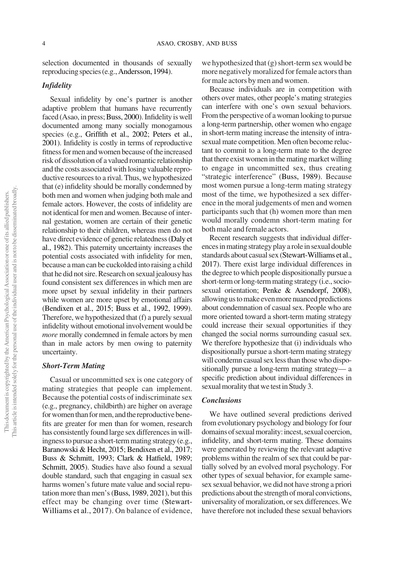selection documented in thousands of sexually reproducing species (e.g., Andersson, 1994).

#### **Infidelity**

Sexual infidelity by one's partner is another adaptive problem that humans have recurrently faced (Asao, in press; Buss, 2000). Infidelity is well documented among many socially monogamous species (e.g., Griffith et al., 2002; Peters et al., 2001). Infidelity is costly in terms of reproductive fitness for men and women because of the increased risk of dissolution of a valued romantic relationship and the costs associated with losing valuable reproductive resources to a rival. Thus, we hypothesized that (e) infidelity should be morally condemned by both men and women when judging both male and female actors. However, the costs of infidelity are not identical for men and women. Because of internal gestation, women are certain of their genetic relationship to their children, whereas men do not have direct evidence of genetic relatedness (Daly et al., 1982). This paternity uncertainty increases the potential costs associated with infidelity for men, because a man can be cuckolded into raising a child that he did not sire. Research on sexual jealousy has found consistent sex differences in which men are more upset by sexual infidelity in their partners while women are more upset by emotional affairs (Bendixen et al., 2015; Buss et al., 1992, 1999). Therefore, we hypothesized that (f) a purely sexual infidelity without emotional involvement would be more morally condemned in female actors by men than in male actors by men owing to paternity uncertainty.

#### Short-Term Mating

Casual or uncommitted sex is one category of mating strategies that people can implement. Because the potential costs of indiscriminate sex (e.g., pregnancy, childbirth) are higher on average for women than for men, and the reproductive benefits are greater for men than for women, research has consistently found large sex differences in willingnessto pursue a short-term mating strategy (e.g., Baranowski & Hecht, 2015; Bendixen et al., 2017; Buss & Schmitt, 1993; Clark & Hatfield, 1989; Schmitt, 2005). Studies have also found a sexual double standard, such that engaging in casual sex harms women's future mate value and social reputation more than men's (Buss, 1989, 2021), but this effect may be changing over time (Stewart-Williams et al., 2017). On balance of evidence,

we hypothesized that (g) short-term sex would be more negatively moralized for female actors than for male actors by men and women.

Because individuals are in competition with others over mates, other people's mating strategies can interfere with one's own sexual behaviors. From the perspective of a woman looking to pursue a long-term partnership, other women who engage in short-term mating increase the intensity of intrasexual mate competition. Men often become reluctant to commit to a long-term mate to the degree that there exist women in the mating market willing to engage in uncommitted sex, thus creating "strategic interference" (Buss, 1989). Because most women pursue a long-term mating strategy most of the time, we hypothesized a sex difference in the moral judgements of men and women participants such that (h) women more than men would morally condemn short-term mating for both male and female actors.

Recent research suggests that individual differences in mating strategy play a role in sexual double standards about casual sex (Stewart-Williams et al., 2017). There exist large individual differences in the degree to which people dispositionally pursue a short-term or long-term mating strategy (i.e., sociosexual orientation; Penke & Asendorpf, 2008), allowing ustomake evenmore nuanced predictions about condemnation of casual sex. People who are more oriented toward a short-term mating strategy could increase their sexual opportunities if they changed the social norms surrounding casual sex. We therefore hypothesize that (i) individuals who dispositionally pursue a short-term mating strategy will condemn casual sex less than those who dispositionally pursue a long-term mating strategy— a specific prediction about individual differences in sexual morality that we test in Study 3.

#### **Conclusions**

We have outlined several predictions derived from evolutionary psychology and biology for four domains of sexual morality: incest, sexual coercion, infidelity, and short-term mating. These domains were generated by reviewing the relevant adaptive problems within the realm of sex that could be partially solved by an evolved moral psychology. For other types of sexual behavior, for example samesex sexual behavior, we did not have strong a priori predictions about the strength of moral convictions, universality of moralization, or sex differences.We have therefore not included these sexual behaviors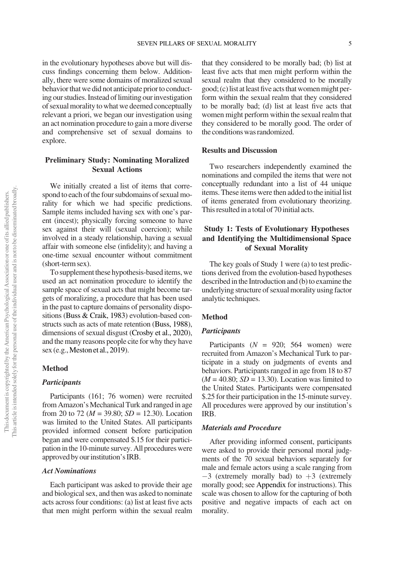in the evolutionary hypotheses above but will discuss findings concerning them below. Additionally, there were some domains of moralized sexual behavior that we did not anticipate prior to conducting our studies. Instead of limiting our investigation of sexual morality to what we deemed conceptually relevant a priori, we began our investigation using an act nomination procedure to gain a more diverse and comprehensive set of sexual domains to

#### Preliminary Study: Nominating Moralized Sexual Actions

We initially created a list of items that correspond to each of the four subdomains of sexual morality for which we had specific predictions. Sample items included having sex with one's parent (incest); physically forcing someone to have sex against their will (sexual coercion); while involved in a steady relationship, having a sexual affair with someone else (infidelity); and having a one-time sexual encounter without commitment (short-term sex).

To supplement these hypothesis-based items, we used an act nomination procedure to identify the sample space of sexual acts that might become targets of moralizing, a procedure that has been used in the past to capture domains of personality dispositions (Buss & Craik, 1983) evolution-based constructs such as acts of mate retention (Buss, 1988), dimensions of sexual disgust (Crosby et al., 2020), and the many reasons people cite for why they have sex (e.g., Meston et al., 2019).

#### Method

explore.

#### Participants

Participants (161; 76 women) were recruited from Amazon's Mechanical Turk and ranged in age from 20 to 72 ( $M = 39.80$ ;  $SD = 12.30$ ). Location was limited to the United States. All participants provided informed consent before participation began and were compensated \$.15 for their participation in the 10-minute survey. All procedures were approved by our institution's IRB.

#### Act Nominations

Each participant was asked to provide their age and biological sex, and then was asked to nominate acts across four conditions: (a) list at least five acts that men might perform within the sexual realm

that they considered to be morally bad; (b) list at least five acts that men might perform within the sexual realm that they considered to be morally  $\gcd$ ; (c) list at least five acts that women might perform within the sexual realm that they considered to be morally bad; (d) list at least five acts that women might perform within the sexual realm that they considered to be morally good. The order of the conditions was randomized.

#### Results and Discussion

Two researchers independently examined the nominations and compiled the items that were not conceptually redundant into a list of 44 unique items. These items were then added to the initial list of items generated from evolutionary theorizing. This resulted in a total of 70 initial acts.

#### Study 1: Tests of Evolutionary Hypotheses and Identifying the Multidimensional Space of Sexual Morality

The key goals of Study 1 were (a) to test predictions derived from the evolution-based hypotheses described in the Introduction and (b) to examine the underlying structure of sexual morality using factor analytic techniques.

#### Method

#### **Participants**

Participants ( $N = 920$ ; 564 women) were recruited from Amazon's Mechanical Turk to participate in a study on judgments of events and behaviors. Participants ranged in age from 18 to 87  $(M = 40.80; SD = 13.30)$ . Location was limited to the United States. Participants were compensated \$.25 for their participation in the 15-minute survey. All procedures were approved by our institution's IRB.

#### Materials and Procedure

After providing informed consent, participants were asked to provide their personal moral judgments of the 70 sexual behaviors separately for male and female actors using a scale ranging from  $-3$  (extremely morally bad) to  $+3$  (extremely morally good; see Appendix for instructions). This scale was chosen to allow for the capturing of both positive and negative impacts of each act on morality.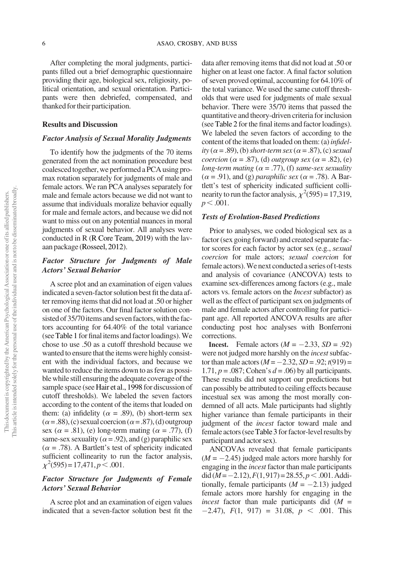After completing the moral judgments, participants filled out a brief demographic questionnaire providing their age, biological sex, religiosity, political orientation, and sexual orientation. Participants were then debriefed, compensated, and thanked fortheir participation.

#### Results and Discussion

#### Factor Analysis of Sexual Morality Judgments

To identify how the judgments of the 70 items generated from the act nomination procedure best coalesced together, we performed a PCA using promax rotation separately for judgments of male and female actors. We ran PCA analyses separately for male and female actors because we did not want to assume that individuals moralize behavior equally for male and female actors, and because we did not want to miss out on any potential nuances in moral judgments of sexual behavior. All analyses were conducted in R (R Core Team, 2019) with the lavaan package (Rosseel, 2012).

#### Factor Structure for Judgments of Male Actors' Sexual Behavior

A scree plot and an examination of eigen values indicated a seven-factor solution best fit the data after removing items that did not load at .50 or higher on one of the factors. Our final factor solution consisted of 35/70 items and seven factors, with the factors accounting for 64.40% of the total variance (see Table 1 for final items and factor loadings). We chose to use .50 as a cutoff threshold because we wanted to ensure that the items were highly consistent with the individual factors, and because we wanted to reduce the items down to as few as possible while still ensuring the adequate coverage of the sample space (see Hair et al., 1998 for discussion of cutoff thresholds). We labeled the seven factors according to the content of the items that loaded on them: (a) infidelity ( $\alpha$  = .89), (b) short-term sex  $(\alpha = .88)$ , (c) sexual coercion ( $\alpha = .87$ ), (d) outgroup sex ( $\alpha$  = .81), (e) long-term mating ( $\alpha$  = .77), (f) same-sex sexuality ( $\alpha$  = .92), and (g) paraphilic sex  $(\alpha = .78)$ . A Bartlett's test of sphericity indicated sufficient collinearity to run the factor analysis,  $\chi^2$ (595) = 17,471, p < .001.

#### Factor Structure for Judgments of Female Actors' Sexual Behavior

A scree plot and an examination of eigen values indicated that a seven-factor solution best fit the

data after removing items that did not load at .50 or higher on at least one factor. A final factor solution of seven proved optimal, accounting for 64.10% of the total variance. We used the same cutoff thresholds that were used for judgments of male sexual behavior. There were 35/70 items that passed the quantitative and theory-driven criteria for inclusion (see Table 2 for the final items and factor loadings). We labeled the seven factors of according to the content of the items that loaded on them: (a) *infidel*ity ( $\alpha$  = .89), (b) short-term sex ( $\alpha$  = .87), (c) sexual coercion ( $\alpha$  = .87), (d) outgroup sex ( $\alpha$  = .82), (e) long-term mating ( $\alpha = .77$ ), (f) same-sex sexuality  $(\alpha = .91)$ , and (g) *paraphilic sex* ( $\alpha = .78$ ). A Bartlett's test of sphericity indicated sufficient collinearity to run the factor analysis,  $\chi^2$ (595) = 17,319,  $p < .001$ .

#### Tests of Evolution-Based Predictions

Prior to analyses, we coded biological sex as a factor (sex going forward) and created separate factor scores for each factor by actor sex (e.g., sexual coercion for male actors; sexual coercion for female actors). We next conducted a series of t-tests and analysis of covariance (ANCOVA) tests to examine sex-differences among factors (e.g., male actors vs. female actors on the Incest subfactor) as well as the effect of participant sex on judgments of male and female actors after controlling for participant age. All reported ANCOVA results are after conducting post hoc analyses with Bonferroni corrections.

**Incest.** Female actors  $(M = -2.33, SD = .92)$ were not judged more harshly on the *incest* subfactor than male actors  $(M = -2.32, SD = .92; t(919) =$ 1.71,  $p = .087$ ; Cohen's  $d = .06$ ) by all participants. These results did not support our predictions but can possibly be attributed to ceiling effects because incestual sex was among the most morally condemned of all acts. Male participants had slightly higher variance than female participants in their judgment of the *incest* factor toward male and female actors (seeTable 3 for factor-level results by participant and actor sex).

ANCOVAs revealed that female participants  $(M = -2.45)$  judged male actors more harshly for engaging in the incest factor than male participants  $\text{did}$   $(M=-2.12)$ ,  $F(1, 917) = 28.55$ ,  $p < .001$ . Additionally, female participants  $(M = -2.13)$  judged female actors more harshly for engaging in the incest factor than male participants did  $(M =$  $-2.47$ ),  $F(1, 917) = 31.08$ ,  $p < .001$ . This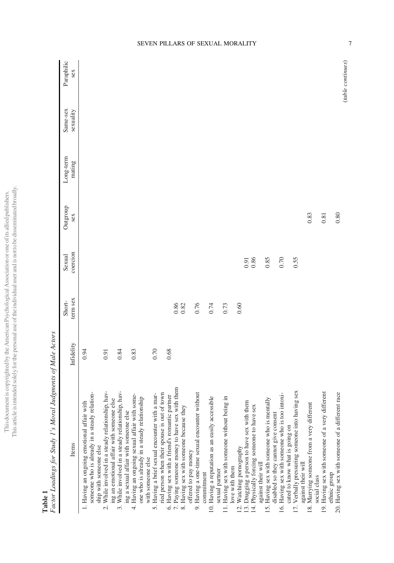This article is intended solely for the personal use of the individual user and is not to be disseminated broadly. This articleisintended solely forthe personal use oftheindividual user andis notto be disseminated broadly.This document is copyrighted by the American Psychological Association or one of its allied publishers. This documentis copyrighted bythe American Psychological Association or one ofits allied publishers.

# Table 1

Factor Loadings for Study 1's Moral Judgments of Male Actors Factor Loadings for Study 1's Moral Judgments of Male Actors

| Items                                                                                                                                                                                                                  | Infidelity | term sex<br>Short- | coercion<br>Sexual  | Outgroup<br>sex | Long-term<br>mating | Same-sex<br>sexuality | Paraphilic<br>sex |
|------------------------------------------------------------------------------------------------------------------------------------------------------------------------------------------------------------------------|------------|--------------------|---------------------|-----------------|---------------------|-----------------------|-------------------|
| 1. Having an ongoing emotional affair with                                                                                                                                                                             | 0.94       |                    |                     |                 |                     |                       |                   |
| someone who is already in a steady relation-<br>ship with someone else                                                                                                                                                 |            |                    |                     |                 |                     |                       |                   |
| While involved in a steady relationship, hav-<br>ing an emotional affair with someone else<br>$\overline{\mathcal{N}}$                                                                                                 | 0.91       |                    |                     |                 |                     |                       |                   |
| While involved in a steady relationship, hav-<br>.<br>ო                                                                                                                                                                | 0.84       |                    |                     |                 |                     |                       |                   |
| ing a sexual affair with someone else                                                                                                                                                                                  |            |                    |                     |                 |                     |                       |                   |
| 4. Having an ongoing sexual affair with some-<br>one who is already in a steady relationship                                                                                                                           | 0.83       |                    |                     |                 |                     |                       |                   |
| with someone else                                                                                                                                                                                                      |            |                    |                     |                 |                     |                       |                   |
|                                                                                                                                                                                                                        | 0.70       |                    |                     |                 |                     |                       |                   |
| with someoue $c_1$ , we allow the someouter with a mar-<br>5. Having a brief sexual encounter with a mar-<br>ried person when their spouse is out of town<br>6. Having sex with a friend's romanic partner<br>$\cdots$ |            |                    |                     |                 |                     |                       |                   |
|                                                                                                                                                                                                                        | 0.68       |                    |                     |                 |                     |                       |                   |
| 7. Paying someone money to have sex with t                                                                                                                                                                             |            | $0.86$<br>$0.82$   |                     |                 |                     |                       |                   |
| 8. Having sex with someone because they                                                                                                                                                                                |            |                    |                     |                 |                     |                       |                   |
| 9. Having a one-time sexual encounter without<br>offered to pay money                                                                                                                                                  |            | 0.76               |                     |                 |                     |                       |                   |
| commitment                                                                                                                                                                                                             |            |                    |                     |                 |                     |                       |                   |
| 10. Having a reputation as an easily accessible                                                                                                                                                                        |            | 0.74               |                     |                 |                     |                       |                   |
| sexual partner                                                                                                                                                                                                         |            |                    |                     |                 |                     |                       |                   |
| 11. Having sex with someone without being in                                                                                                                                                                           |            | 0.73               |                     |                 |                     |                       |                   |
| love with them                                                                                                                                                                                                         |            |                    |                     |                 |                     |                       |                   |
| 12. Watching pornography                                                                                                                                                                                               |            | 0.60               |                     |                 |                     |                       |                   |
| 13. Drugging a person to have sex with them                                                                                                                                                                            |            |                    | $\frac{0.91}{0.86}$ |                 |                     |                       |                   |
| 14. Physically forcing someone to have sex                                                                                                                                                                             |            |                    |                     |                 |                     |                       |                   |
| against their will                                                                                                                                                                                                     |            |                    |                     |                 |                     |                       |                   |
| 15. Having sex with someone who is mentally                                                                                                                                                                            |            |                    | 0.85                |                 |                     |                       |                   |
| disabled so they cannot give consent                                                                                                                                                                                   |            |                    |                     |                 |                     |                       |                   |
| 16. Having sex with someone who is too intoxi-                                                                                                                                                                         |            |                    | $0.70\,$            |                 |                     |                       |                   |
| cated to know what is going on                                                                                                                                                                                         |            |                    |                     |                 |                     |                       |                   |
| sex<br>17. Verbally pressuring someone into having<br>against their will                                                                                                                                               |            |                    | 0.55                |                 |                     |                       |                   |
| 18. Marrying someone from a very different<br>social class                                                                                                                                                             |            |                    |                     | 0.83            |                     |                       |                   |
| 19. Having sex with someone of a very different                                                                                                                                                                        |            |                    |                     | 0.81            |                     |                       |                   |
| ethnic group                                                                                                                                                                                                           |            |                    |                     |                 |                     |                       |                   |
| 20. Having sex with someone of a different race                                                                                                                                                                        |            |                    |                     | 0.80            |                     |                       | (table continues) |
|                                                                                                                                                                                                                        |            |                    |                     |                 |                     |                       |                   |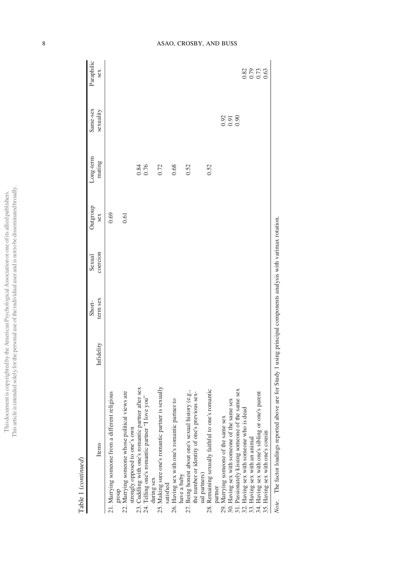| i              |   |
|----------------|---|
|                |   |
|                |   |
|                |   |
|                |   |
|                |   |
|                |   |
|                |   |
|                |   |
|                |   |
|                |   |
|                |   |
|                |   |
|                |   |
|                |   |
|                |   |
|                |   |
|                |   |
|                |   |
|                |   |
|                |   |
|                |   |
|                |   |
|                |   |
| )              |   |
|                |   |
|                |   |
|                |   |
|                |   |
|                |   |
|                |   |
|                |   |
|                |   |
|                |   |
|                |   |
|                |   |
|                |   |
|                |   |
|                |   |
|                |   |
|                |   |
|                |   |
|                |   |
| ì              |   |
|                |   |
|                |   |
| ì              |   |
|                |   |
|                |   |
|                |   |
|                |   |
|                |   |
|                |   |
|                |   |
|                |   |
|                |   |
|                |   |
| $\overline{a}$ |   |
|                |   |
|                | i |

Table 1 (continued) Table 1 (continued)

|                                                                 |                                                                           | Short-   | Sexual   | Outgroup | Long-term | Same-sex                                            | Paraphilic        |
|-----------------------------------------------------------------|---------------------------------------------------------------------------|----------|----------|----------|-----------|-----------------------------------------------------|-------------------|
| Items                                                           | Infidelity                                                                | term sex | coercion | sex      | mating    | sexuality                                           | sex               |
| 21. Marrying someone from a different religious                 |                                                                           |          |          | 0.69     |           |                                                     |                   |
| dno.fa                                                          |                                                                           |          |          |          |           |                                                     |                   |
| 22. Marrying someone whose political views are                  |                                                                           |          |          | 0.61     |           |                                                     |                   |
| strongly opposed to one's own                                   |                                                                           |          |          |          |           |                                                     |                   |
| 23. Cuddling with one's romantic partner after sex              |                                                                           |          |          |          | 0.84      |                                                     |                   |
| 24. Telling one's romantic partner "I love you"                 |                                                                           |          |          |          | 0.76      |                                                     |                   |
| during sex                                                      |                                                                           |          |          |          |           |                                                     |                   |
| 25. Making sure one's romantic partner is sexually<br>satisfied |                                                                           |          |          |          | 0.72      |                                                     |                   |
| 26. Having sex with one's romantic partner to                   |                                                                           |          |          |          | 0.68      |                                                     |                   |
| have a baby                                                     |                                                                           |          |          |          |           |                                                     |                   |
| 27. Being honest about one's sexual history (e.g.,              |                                                                           |          |          |          | 0.52      |                                                     |                   |
| the number or identity of one's previous sex-                   |                                                                           |          |          |          |           |                                                     |                   |
| ual partners)                                                   |                                                                           |          |          |          |           |                                                     |                   |
| 28. Remaining sexually faithful to one's romantic               |                                                                           |          |          |          | 0.52      |                                                     |                   |
| partner                                                         |                                                                           |          |          |          |           |                                                     |                   |
| 29. Marrying someone of the same sex                            |                                                                           |          |          |          |           |                                                     |                   |
| sex<br>30. Having sex with someone of the same                  |                                                                           |          |          |          |           | $\begin{array}{c} 0.92 \\ 0.91 \\ 0.90 \end{array}$ |                   |
| 31. Passionately kissing someone of the same sex                |                                                                           |          |          |          |           |                                                     |                   |
| 32. Having sex with someone who is dead                         |                                                                           |          |          |          |           |                                                     |                   |
| 33. Having sex with an animal                                   |                                                                           |          |          |          |           |                                                     |                   |
| 34. Having sex with one's sibling or one's parent               |                                                                           |          |          |          |           |                                                     | 82<br>822<br>0000 |
| 35. Having sex with one's cousin                                |                                                                           |          |          |          |           |                                                     |                   |
| Note. The factor loadings reported above                        | are for Study 1 using principal components analysis with varimax rotation |          |          |          |           |                                                     |                   |

8 ASAO, CROSBY, AND BUSS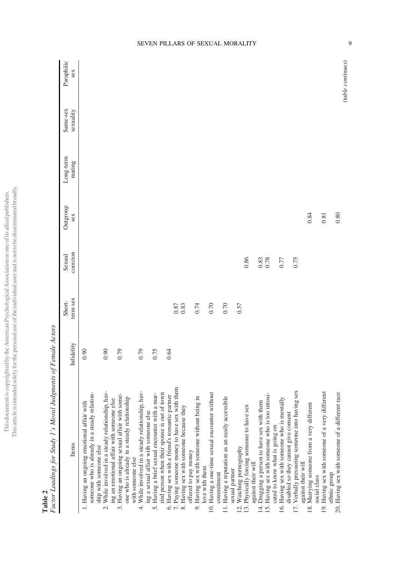This article is intended solely for the personal use of the individual user and is not to be disseminated broadly. This articleisintended solely forthe personal use oftheindividual user andis notto be disseminated broadly.This document is copyrighted by the American Psychological Association or one of its allied publishers. This documentis copyrighted bythe American Psychological Association or one ofits allied publishers.

# Table 2

Factor Loadings for Study 1's Moral Judgments of Female Actors Factor Loadings for Study 1's Moral Judgments of Female Actors

|                                                                                                                                                                                        |            | Short-                                      | Sexual                                      | Outgroup | Long-term | Same-sex  | Paraphilic        |
|----------------------------------------------------------------------------------------------------------------------------------------------------------------------------------------|------------|---------------------------------------------|---------------------------------------------|----------|-----------|-----------|-------------------|
| Items                                                                                                                                                                                  | Infidelity | term sex                                    | coercion                                    | sex      | mating    | sexuality | sex               |
| 1. Having an ongoing emotional affair with                                                                                                                                             | 0.90       |                                             |                                             |          |           |           |                   |
| someone who is already in a steady relation-<br>ship with someone else                                                                                                                 |            |                                             |                                             |          |           |           |                   |
| While involved in a steady relationship, hav-<br>$\overline{c}$                                                                                                                        | 0.90       |                                             |                                             |          |           |           |                   |
| ing an emotional affair with someone else                                                                                                                                              |            |                                             |                                             |          |           |           |                   |
| 3. Having an ongoing sexual affair with some-                                                                                                                                          | 0.79       |                                             |                                             |          |           |           |                   |
| one who is already in a steady relationship                                                                                                                                            |            |                                             |                                             |          |           |           |                   |
| with someone else                                                                                                                                                                      |            |                                             |                                             |          |           |           |                   |
| 4. While involved in a steady relationship, hav-                                                                                                                                       | 0.79       |                                             |                                             |          |           |           |                   |
| ing a sexual affair with someone else                                                                                                                                                  |            |                                             |                                             |          |           |           |                   |
|                                                                                                                                                                                        | 0.75       |                                             |                                             |          |           |           |                   |
| 5. Having a brief sexual encounter with a married person when their spouse is out of town 6. Having sex with a friend's romantic partner 7. Paving someone money to have sex with them |            |                                             |                                             |          |           |           |                   |
|                                                                                                                                                                                        | 0.64       |                                             |                                             |          |           |           |                   |
| 7. Paying someone money to have sex with t                                                                                                                                             |            | $\begin{array}{c} 0.87 \\ 0.83 \end{array}$ |                                             |          |           |           |                   |
| 8. Having sex with someone because they                                                                                                                                                |            |                                             |                                             |          |           |           |                   |
| offered to pay money                                                                                                                                                                   |            |                                             |                                             |          |           |           |                   |
| 9. Having sex with someone without being in                                                                                                                                            |            | 0.74                                        |                                             |          |           |           |                   |
| love with them                                                                                                                                                                         |            |                                             |                                             |          |           |           |                   |
| 10. Having a one-time sexual encounter without                                                                                                                                         |            | 0.70                                        |                                             |          |           |           |                   |
| commitment                                                                                                                                                                             |            |                                             |                                             |          |           |           |                   |
| 11. Having a reputation as an easily accessible                                                                                                                                        |            | 0.70                                        |                                             |          |           |           |                   |
| sexual partner                                                                                                                                                                         |            |                                             |                                             |          |           |           |                   |
| 12. Watching pornography                                                                                                                                                               |            | 0.57                                        |                                             |          |           |           |                   |
| 13. Physically forcing someone to have sex                                                                                                                                             |            |                                             | 0.86                                        |          |           |           |                   |
| against their will                                                                                                                                                                     |            |                                             |                                             |          |           |           |                   |
| 14. Drugging a person to have sex with them                                                                                                                                            |            |                                             | $\begin{array}{c} 0.83 \\ 0.78 \end{array}$ |          |           |           |                   |
| 15. Having sex with someone who is too intoxi-                                                                                                                                         |            |                                             |                                             |          |           |           |                   |
| cated to know what is going on                                                                                                                                                         |            |                                             |                                             |          |           |           |                   |
| 16. Having sex with someone who is mentally                                                                                                                                            |            |                                             | $0.77\,$                                    |          |           |           |                   |
| disabled so they cannot give consent                                                                                                                                                   |            |                                             |                                             |          |           |           |                   |
| sex<br>17. Verbally pressuring someone into having                                                                                                                                     |            |                                             | 0.75                                        |          |           |           |                   |
| against their will                                                                                                                                                                     |            |                                             |                                             |          |           |           |                   |
| 18. Marrying someone from a very different<br>social class                                                                                                                             |            |                                             |                                             | 0.84     |           |           |                   |
| 19. Having sex with someone of a very different                                                                                                                                        |            |                                             |                                             | $\!0.81$ |           |           |                   |
| ethnic group                                                                                                                                                                           |            |                                             |                                             |          |           |           |                   |
| 20. Having sex with someone of a different race                                                                                                                                        |            |                                             |                                             | 0.80     |           |           |                   |
|                                                                                                                                                                                        |            |                                             |                                             |          |           |           | (table continues) |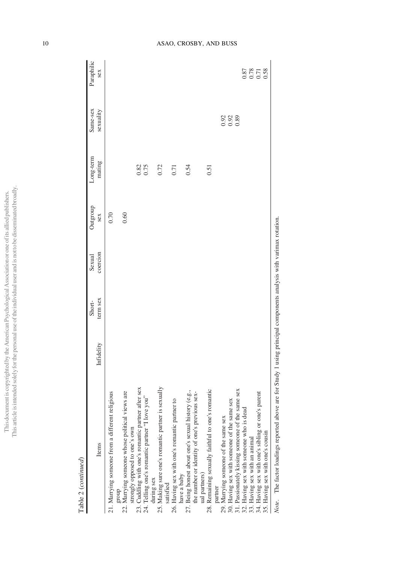This document is copyrighted by the American Psychological Association or one of its allied publishers.<br>This article is intended solely for the personal use of the individual user and is not to be disseminated broadly. This articleisintended solely forthe personal use oftheindividual user andis notto be disseminated broadly.This documentis copyrighted bythe American Psychological Association or one ofits allied publishers.

> $Table~2~(continued)$ Table 2 (continued)

| Items                                                           | Infidelity                                                                 | term sex<br>Short- | coercion<br>Sexual | Outgroup<br>sex | Long-term<br>mating | Same-sex<br>sexuality | Paraphilic<br>sex              |
|-----------------------------------------------------------------|----------------------------------------------------------------------------|--------------------|--------------------|-----------------|---------------------|-----------------------|--------------------------------|
|                                                                 |                                                                            |                    |                    |                 |                     |                       |                                |
| ligious<br>21. Marrying someone from a different rel            |                                                                            |                    |                    | 0.70            |                     |                       |                                |
| dno.18                                                          |                                                                            |                    |                    |                 |                     |                       |                                |
| 22. Marrying someone whose political views are                  |                                                                            |                    |                    | 0.60            |                     |                       |                                |
| strongly opposed to one's own                                   |                                                                            |                    |                    |                 |                     |                       |                                |
| 23. Cuddling with one's romantic partner after sex              |                                                                            |                    |                    |                 | 0.82                |                       |                                |
| 24. Telling one's romantic partner "I love you"                 |                                                                            |                    |                    |                 | 0.75                |                       |                                |
| during sex                                                      |                                                                            |                    |                    |                 |                     |                       |                                |
| 25. Making sure one's romantic partner is sexually<br>satisfied |                                                                            |                    |                    |                 | 0.72                |                       |                                |
|                                                                 |                                                                            |                    |                    |                 |                     |                       |                                |
| 26. Having sex with one's romantic partner to                   |                                                                            |                    |                    |                 | 0.71                |                       |                                |
| have a baby                                                     |                                                                            |                    |                    |                 |                     |                       |                                |
| 27. Being honest about one's sexual history (e.g.,              |                                                                            |                    |                    |                 | 0.54                |                       |                                |
| the number or identity of one's previous sex-                   |                                                                            |                    |                    |                 |                     |                       |                                |
| ual partners)                                                   |                                                                            |                    |                    |                 |                     |                       |                                |
| 28. Remaining sexually faithful to one's romantic               |                                                                            |                    |                    |                 | 0.51                |                       |                                |
| partner                                                         |                                                                            |                    |                    |                 |                     |                       |                                |
| 29. Marrying someone of the same sex                            |                                                                            |                    |                    |                 |                     |                       |                                |
| 30. Having sex with someone of the same sex                     |                                                                            |                    |                    |                 |                     | 0.92<br>0.93<br>0.89  |                                |
| 31. Passionately kissing someone of the same sex                |                                                                            |                    |                    |                 |                     |                       |                                |
| 32. Having sex with someone who is dead                         |                                                                            |                    |                    |                 |                     |                       |                                |
| 33. Having sex with an animal                                   |                                                                            |                    |                    |                 |                     |                       | 87<br>178<br>178<br>180<br>180 |
| 34. Having sex with one's sibling or one's parent               |                                                                            |                    |                    |                 |                     |                       |                                |
| 35. Having sex with one's cousin                                |                                                                            |                    |                    |                 |                     |                       |                                |
| Note. The factor loadings reported above                        | are for Study 1 using principal components analysis with varimax rotation. |                    |                    |                 |                     |                       |                                |

10 ASAO, CROSBY, AND BUSS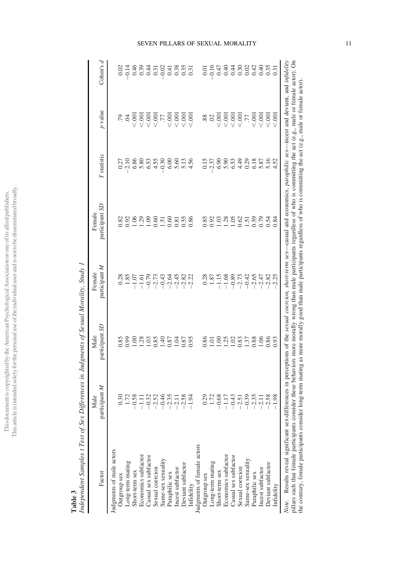| Factor                                                                                                                                                                                                                                                                       | participant M<br>Male | participant SD<br>Male | participant M<br>Female                             | participant SD<br>Female                                                                                                                                                                                                                                                                                   | T statistic                | $p$ value                                               | Cohen's $d$                                               |
|------------------------------------------------------------------------------------------------------------------------------------------------------------------------------------------------------------------------------------------------------------------------------|-----------------------|------------------------|-----------------------------------------------------|------------------------------------------------------------------------------------------------------------------------------------------------------------------------------------------------------------------------------------------------------------------------------------------------------------|----------------------------|---------------------------------------------------------|-----------------------------------------------------------|
| Judgments of male actors                                                                                                                                                                                                                                                     |                       |                        |                                                     |                                                                                                                                                                                                                                                                                                            |                            |                                                         |                                                           |
| Outgroup sex                                                                                                                                                                                                                                                                 | 0.30                  | 0.85                   | 0.28                                                | 0.82                                                                                                                                                                                                                                                                                                       |                            | .79                                                     |                                                           |
| Long-term mating                                                                                                                                                                                                                                                             | 1.72                  | 0.99                   | 1.85                                                |                                                                                                                                                                                                                                                                                                            | $0.27$<br>$2.10$           | Ŕ.                                                      | 0.02                                                      |
| Short-term sex                                                                                                                                                                                                                                                               | $-0.58$               |                        |                                                     |                                                                                                                                                                                                                                                                                                            | 6.86                       |                                                         |                                                           |
| Economics subfactor                                                                                                                                                                                                                                                          | $\frac{11}{11}$       | $rac{88}{100}$         | $-1.07$<br>$-1.61$<br>$-0.79$<br>$-2.73$<br>$-0.43$ | $3,8,8$<br>$1,3,8$<br>$1,3,8$                                                                                                                                                                                                                                                                              | 5.80                       | 388858<br>VVVV                                          | 6.334702                                                  |
| Casual sex subfactor                                                                                                                                                                                                                                                         | $-0.32$               |                        |                                                     |                                                                                                                                                                                                                                                                                                            |                            |                                                         |                                                           |
| Sexual coercion                                                                                                                                                                                                                                                              | 2.52                  | 0.85                   |                                                     | 0.60                                                                                                                                                                                                                                                                                                       | 6.53                       |                                                         |                                                           |
| Same-sex sexuality                                                                                                                                                                                                                                                           | $-0.46$               | 1.40                   |                                                     | 1.51                                                                                                                                                                                                                                                                                                       | $-0.30$                    |                                                         |                                                           |
| Paraphilic sex                                                                                                                                                                                                                                                               | 2.35                  | 0.87                   | $-2.64$                                             | 0.60                                                                                                                                                                                                                                                                                                       |                            |                                                         |                                                           |
| Incest subfactor                                                                                                                                                                                                                                                             | $-2.11$               | 1.04                   | $-2.45$                                             | 0.81                                                                                                                                                                                                                                                                                                       | 6.00<br>6.00<br>5.13       | $\frac{5}{3}$ $\frac{5}{3}$ $\frac{5}{3}$ $\frac{5}{3}$ | $\begin{array}{c} 41 \\ 0.38 \\ 0.35 \\ 0.31 \end{array}$ |
| Deviant subfactor                                                                                                                                                                                                                                                            | $-2.58$               | 0.87                   | $-2.82$                                             | 0.55                                                                                                                                                                                                                                                                                                       |                            |                                                         |                                                           |
|                                                                                                                                                                                                                                                                              | $-1.94$               | 0.95                   | $-2.22$                                             | 0.86                                                                                                                                                                                                                                                                                                       | 4.56                       |                                                         |                                                           |
| Infidelity<br>Judgments of female actors                                                                                                                                                                                                                                     |                       |                        |                                                     |                                                                                                                                                                                                                                                                                                            |                            |                                                         |                                                           |
| Outgroup sex                                                                                                                                                                                                                                                                 | 0.29                  | 0.86                   | 0.28                                                | 0.85                                                                                                                                                                                                                                                                                                       |                            | 88.                                                     |                                                           |
| Long-term mating                                                                                                                                                                                                                                                             | 1.72                  | $\overline{0}$         | 1.87                                                | 0.92                                                                                                                                                                                                                                                                                                       | $-2.37$                    | $\overline{0}$                                          |                                                           |
| Short-term sex                                                                                                                                                                                                                                                               | $-0.68$               | 00.1                   | $-1.15$                                             |                                                                                                                                                                                                                                                                                                            | 6.90                       | $\overline{\text{c}}$ .001                              |                                                           |
| Economics subfactor                                                                                                                                                                                                                                                          | $-1.17$               | 1.25                   | $-1.68$                                             |                                                                                                                                                                                                                                                                                                            |                            | $\leq 001$                                              |                                                           |
| Casual sex subfactor                                                                                                                                                                                                                                                         | $-0.43$               | 1.02                   | $-0.89$                                             |                                                                                                                                                                                                                                                                                                            |                            |                                                         |                                                           |
| Sexual coercion                                                                                                                                                                                                                                                              | 2.51                  | 0.83                   | $-2.73$                                             | 1389851                                                                                                                                                                                                                                                                                                    | $6.53$<br>$6.38$<br>$6.18$ |                                                         |                                                           |
| Same-sex sexuality                                                                                                                                                                                                                                                           | $-0.39$               | 1.37                   | $-0.42$                                             |                                                                                                                                                                                                                                                                                                            |                            |                                                         |                                                           |
| Paraphilic sex                                                                                                                                                                                                                                                               | $-2.35$               | 0.88                   | $-2.65$                                             | 0.59                                                                                                                                                                                                                                                                                                       |                            | $\leq 001$                                              |                                                           |
| Incest subfactor                                                                                                                                                                                                                                                             | $-2.11$               | 1.06                   | $-2.47$                                             | 0.79                                                                                                                                                                                                                                                                                                       | 5.87                       | $\overline{0}$                                          |                                                           |
| Deviant subfactor                                                                                                                                                                                                                                                            | $-2.58$               | 0.86                   | $-2.82$                                             | 0.54                                                                                                                                                                                                                                                                                                       | 5.16                       | $\frac{1}{2}$<br>$\frac{1}{2}$                          | 0.35                                                      |
| Infidelity                                                                                                                                                                                                                                                                   | $-1.98$               | 0.93                   | $-2.25$                                             | 0.84                                                                                                                                                                                                                                                                                                       | 4.52                       |                                                         | 0.31                                                      |
| pillars such that female participants consider these behaviors more morally wrong than male participants regardless of who is committing the act (e.g., male or female actor). On<br>Note. Results reveal significant sex-diff<br>the contrary, female participants consider |                       |                        |                                                     | ferences in perceptions of the <i>sexual coercion</i> , <i>short-term sex</i> —casual and economics, <i>paraphilic sex</i> —incest and deviant, and <i>infidelity</i><br>long-term mating as more morally good than male participants regardless of who is committing the act (e.g., male or female actor) |                            |                                                         |                                                           |

Table 3<br>Independent Samples t Test of Sex Differences in Judgments of Sexual Morality, Study 1 Independent Samples t Test of Sex Differences in Judgments of Sexual Morality, Study 1

SEVEN PILLARS OF SEXUAL MORALITY 11

This documentis copyrighted bythe American Psychological Association or one ofits allied publishers.

This document is copyrighted by the American Psychological Association or one of its allied publishers.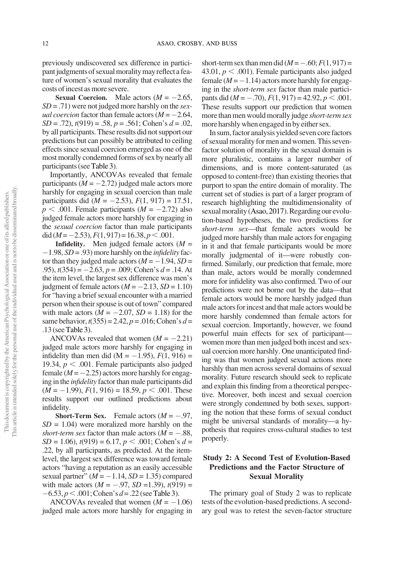previously undiscovered sex difference in participant judgments of sexual morality may reflect a feature of women's sexual morality that evaluates the costs ofincest as more severe.

**Sexual Coercion.** Male actors  $(M = -2.65$ ,  $SD = .71$ ) were not judged more harshly on the sexual coercion factor than female actors ( $M = -2.64$ ,  $SD = .72$ ),  $t(919) = .58$ ,  $p = .561$ ; Cohen's  $d = .02$ , by all participants. These results did not support our predictions but can possibly be attributed to ceiling effects since sexual coercion emerged as one of the most morally condemned forms of sex by nearly all participants (see Table 3).

Importantly, ANCOVAs revealed that female participants ( $M = -2.72$ ) judged male actors more harshly for engaging in sexual coercion than male participants did ( $M = -2.53$ ),  $F(1, 917) = 17.51$ ,  $p < .001$ . Female participants ( $M = -2.72$ ) also judged female actors more harshly for engaging in the sexual coercion factor than male participants  $\text{did}$  (*M* = -2.53),  $F(1, 917) = 16.38, p < .001$ .

**Infidelity.** Men judged female actors  $(M =$  $-1.98$ ,  $SD = .93$ ) more harshly on the *infidelity* factor than they judged male actors  $(M = -1.94, SD =$ .95),  $t(354) = -2.63$ ,  $p = .009$ ; Cohen's  $d = .14$ . At the item level, the largest sex difference was men's judgment of female actors ( $M = -2.13$ ,  $SD = 1.10$ ) for "having a brief sexual encounter with a married person when their spouse is out of town" compared with male actors  $(M = -2.07, SD = 1.18)$  for the same behavior,  $t(355) = 2.42$ ,  $p = .016$ ; Cohen's  $d =$ .13 (seeTable 3).

ANCOVAs revealed that women  $(M = -2.21)$ judged male actors more harshly for engaging in infidelity than men did (M =  $-1.95$ ),  $F(1, 916)$  = 19.34,  $p < .001$ . Female participants also judged female ( $M = -2.25$ ) actors more harshly for engaging in the infidelity factor than male participants did  $(M = -1.99)$ ,  $F(1, 916) = 18.59$ ,  $p < .001$ . These results support our outlined predictions about infidelity.

**Short-Term Sex.** Female actors  $(M = -.97,$  $SD = 1.04$ ) were moralized more harshly on the short-term sex factor than male actors  $(M = -.88,$  $SD = 1.06$ ),  $t(919) = 6.17$ ,  $p < .001$ ; Cohen's  $d =$ .22, by all participants, as predicted. At the itemlevel, the largest sex difference was toward female actors "having a reputation as an easily accessible sexual partner"  $(M = -1.14, SD = 1.35)$  compared with male actors  $(M = -.97, SD = 1.39), t(919) =$  $-6.53, p < .001$ ; Cohen's  $d = .22$  (see Table 3).

ANCOVAs revealed that women  $(M = -1.06)$ judged male actors more harshly for engaging in short-term sex than men did  $(M=-.60;F(1, 917))$  = 43.01,  $p < .001$ ). Female participants also judged female ( $M = -1.14$ ) actors more harshly for engaging in the short-term sex factor than male participants did ( $M = -.70$ ),  $F(1, 917) = 42.92$ ,  $p < .001$ . These results support our prediction that women more than men would morally judge *short-term sex* more harshly when engaged in by either sex.

In sum, factor analysis yielded seven core factors of sexual morality for men and women. This sevenfactor solution of morality in the sexual domain is more pluralistic, contains a larger number of dimensions, and is more content-saturated (as opposed to content-free) than existing theories that purport to span the entire domain of morality. The current set of studies is part of a larger program of research highlighting the multidimensionality of sexual morality (Asao, 2017). Regarding our evolution-based hypotheses, the two predictions for short-term sex-that female actors would be judged more harshly than male actors for engaging in it and that female participants would be more morally judgmental of it—were robustly confirmed. Similarly, our prediction that female, more than male, actors would be morally condemned more for infidelity was also confirmed. Two of our predictions were not borne out by the data—that female actors would be more harshly judged than male actors for incest and that male actors would be more harshly condemned than female actors for sexual coercion. Importantly, however, we found powerful main effects for sex of participant women more than men judged both incest and sexual coercion more harshly. One unanticipated finding was that women judged sexual actions more harshly than men across several domains of sexual morality. Future research should seek to replicate and explain this finding from a theoretical perspective. Moreover, both incest and sexual coercion were strongly condemned by both sexes, supporting the notion that these forms of sexual conduct might be universal standards of morality—a hypothesis that requires cross-cultural studies to test properly.

#### Study 2: A Second Test of Evolution-Based Predictions and the Factor Structure of Sexual Morality

The primary goal of Study 2 was to replicate tests of the evolution-based predictions. A secondary goal was to retest the seven-factor structure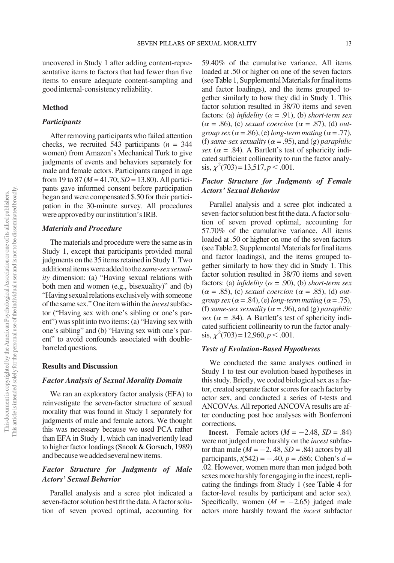uncovered in Study 1 after adding content-representative items to factors that had fewer than five items to ensure adequate content-sampling and goodinternal-consistency reliability.

#### Method

#### **Participants**

After removing participants who failed attention checks, we recruited 543 participants ( $n = 344$ ) women) from Amazon's Mechanical Turk to give judgments of events and behaviors separately for male and female actors. Participants ranged in age from 19 to 87 ( $M = 41.70$ ;  $SD = 13.80$ ). All participants gave informed consent before participation began and were compensated \$.50 for their participation in the 30-minute survey. All procedures were approved by our institution's IRB.

#### Materials and Procedure

The materials and procedure were the same as in Study 1, except that participants provided moral judgments on the 35 items retained in Study 1. Two additional items were added to the same-sex sexuality dimension: (a) "Having sexual relations with both men and women (e.g., bisexuality)" and (b) "Having sexual relations exclusively with someone of the same sex." One item within the *incest* subfactor ("Having sex with one's sibling or one's parent") was split into two items: (a) "Having sex with one's sibling" and (b) "Having sex with one's parent" to avoid confounds associated with doublebarreled questions.

#### Results and Discussion

#### Factor Analysis of Sexual Morality Domain

We ran an exploratory factor analysis (EFA) to reinvestigate the seven-factor structure of sexual morality that was found in Study 1 separately for judgments of male and female actors. We thought this was necessary because we used PCA rather than EFA in Study 1, which can inadvertently lead to higher factor loadings (Snook & Gorsuch, 1989) and because we added several newitems.

#### Factor Structure for Judgments of Male Actors' Sexual Behavior

Parallel analysis and a scree plot indicated a seven-factor solution best fit the data. A factor solution of seven proved optimal, accounting for

59.40% of the cumulative variance. All items loaded at .50 or higher on one of the seven factors (see Table 1, Supplemental Materials for final items and factor loadings), and the items grouped together similarly to how they did in Study 1. This factor solution resulted in 38/70 items and seven factors: (a) infidelity ( $\alpha$  = .91), (b) short-term sex  $(\alpha = .86)$ , (c) sexual coercion ( $\alpha = .87$ ), (d) outgroup sex ( $\alpha$  = .86), (e) long-term mating ( $\alpha$  = .77), (f) same-sex sexuality ( $\alpha$  = .95), and (g) paraphilic sex ( $\alpha$  = .84). A Bartlett's test of sphericity indicated sufficient collinearity to run the factor analy- $\text{sis}, \chi^2(703) = 13,517, p < .001.$ 

#### Factor Structure for Judgments of Female Actors' Sexual Behavior

Parallel analysis and a scree plot indicated a seven-factor solution best fit the data. A factor solution of seven proved optimal, accounting for 57.70% of the cumulative variance. All items loaded at .50 or higher on one of the seven factors (see Table 2, Supplemental Materials for final items and factor loadings), and the items grouped together similarly to how they did in Study 1. This factor solution resulted in 38/70 items and seven factors: (a) infidelity ( $\alpha$  = .90), (b) short-term sex  $(\alpha = .85)$ , (c) sexual coercion ( $\alpha = .85$ ), (d) outgroup sex ( $\alpha$  = .84), (e) long-term mating ( $\alpha$  = .75), (f) same-sex sexuality ( $\alpha$  = .96), and (g) paraphilic sex ( $\alpha$  = .84). A Bartlett's test of sphericity indicated sufficient collinearity to run the factor analy- $\text{sis}, \chi^2(703) = 12,960, p < .001.$ 

#### Tests of Evolution-Based Hypotheses

We conducted the same analyses outlined in Study 1 to test our evolution-based hypotheses in this study. Briefly, we coded biological sex as a factor, created separate factor scores for each factor by actor sex, and conducted a series of t-tests and ANCOVAs. All reported ANCOVA results are after conducting post hoc analyses with Bonferroni corrections.

**Incest.** Female actors  $(M = -2.48, SD = .84)$ were not judged more harshly on the *incest* subfactor than male ( $M = -2$ . 48,  $SD = .84$ ) actors by all participants,  $t(542) = -.40$ ,  $p = .686$ ; Cohen's  $d =$ .02. However, women more than men judged both sexes more harshly for engaging in the incest, replicating the findings from Study 1 (see Table 4 for factor-level results by participant and actor sex). Specifically, women  $(M = -2.65)$  judged male actors more harshly toward the incest subfactor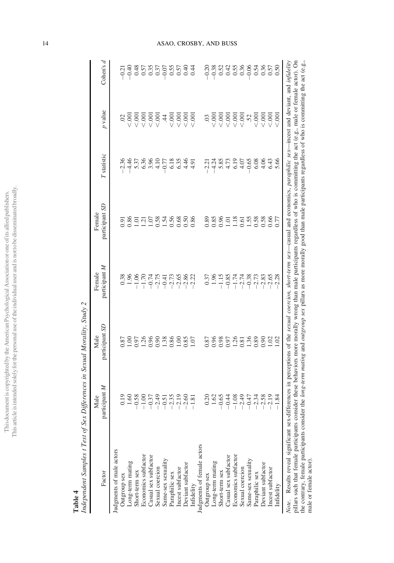| ł      |                      |
|--------|----------------------|
|        |                      |
|        |                      |
|        |                      |
|        |                      |
|        | ì                    |
|        |                      |
|        |                      |
|        |                      |
|        |                      |
|        |                      |
|        |                      |
|        |                      |
|        |                      |
|        |                      |
|        |                      |
|        |                      |
|        |                      |
|        |                      |
|        |                      |
|        |                      |
|        |                      |
|        |                      |
|        |                      |
|        |                      |
| )      |                      |
|        |                      |
|        | $\ddot{\phantom{0}}$ |
|        | Î                    |
|        |                      |
|        |                      |
| I      |                      |
|        |                      |
|        |                      |
|        |                      |
|        |                      |
|        |                      |
|        |                      |
|        |                      |
|        |                      |
|        |                      |
|        |                      |
|        |                      |
|        |                      |
|        |                      |
|        |                      |
|        |                      |
| )      |                      |
| ŀ      |                      |
|        |                      |
| į      |                      |
|        |                      |
|        |                      |
|        |                      |
|        |                      |
|        |                      |
|        |                      |
|        |                      |
|        |                      |
|        |                      |
|        |                      |
|        |                      |
|        |                      |
| .<br>F |                      |
| ł      |                      |
|        | Ē<br>ì               |
|        |                      |

| ۷ |
|---|
|   |
|   |
|   |
|   |
|   |

Independent Samples t Test of Sex Differences in Sexual Morality, Study 2 Independent Samples t Test of Sex Differences in Sexual Morality, Study 2

| Factor                                                                                                                                                                                                                                                                                                                                                                                                                                                                                                                                                                               | participant M<br>Male | participant SD<br>Male          | participant M<br>Female                                                           | participant SD<br>Female                    | <b>T</b> statistic                       | p value                                                                             | Cohen's $d$ |
|--------------------------------------------------------------------------------------------------------------------------------------------------------------------------------------------------------------------------------------------------------------------------------------------------------------------------------------------------------------------------------------------------------------------------------------------------------------------------------------------------------------------------------------------------------------------------------------|-----------------------|---------------------------------|-----------------------------------------------------------------------------------|---------------------------------------------|------------------------------------------|-------------------------------------------------------------------------------------|-------------|
|                                                                                                                                                                                                                                                                                                                                                                                                                                                                                                                                                                                      |                       |                                 |                                                                                   |                                             |                                          |                                                                                     |             |
| Judgments of male actors                                                                                                                                                                                                                                                                                                                                                                                                                                                                                                                                                             |                       |                                 |                                                                                   |                                             |                                          |                                                                                     |             |
| Outgroup sex                                                                                                                                                                                                                                                                                                                                                                                                                                                                                                                                                                         | 0.19                  | 0.87                            |                                                                                   | 0.91                                        |                                          | $\mathcal{O}$                                                                       |             |
| Long-term mating                                                                                                                                                                                                                                                                                                                                                                                                                                                                                                                                                                     | 1.60                  |                                 |                                                                                   | 0.86                                        |                                          |                                                                                     |             |
| Short-term sex                                                                                                                                                                                                                                                                                                                                                                                                                                                                                                                                                                       | $-0.58$               |                                 |                                                                                   |                                             |                                          |                                                                                     |             |
| Economics subfactor                                                                                                                                                                                                                                                                                                                                                                                                                                                                                                                                                                  | $-1.00$               |                                 |                                                                                   |                                             |                                          |                                                                                     |             |
| Casual sex subfactor                                                                                                                                                                                                                                                                                                                                                                                                                                                                                                                                                                 | $-0.37$<br>$-2.49$    |                                 |                                                                                   |                                             | $7477880$<br>$-140980$                   |                                                                                     |             |
| Sexual coercion                                                                                                                                                                                                                                                                                                                                                                                                                                                                                                                                                                      |                       |                                 | $\begin{array}{r} 0.38 \\ 1.96 \\ 1.70 \\ -1.70 \\ -0.74 \\ -2.75 \\ \end{array}$ | 1110334688                                  |                                          |                                                                                     |             |
| Same-sex sexuality                                                                                                                                                                                                                                                                                                                                                                                                                                                                                                                                                                   | $-0.51$               |                                 |                                                                                   |                                             | $-0.77$                                  |                                                                                     |             |
| Paraphilic sex                                                                                                                                                                                                                                                                                                                                                                                                                                                                                                                                                                       | $-2.35$               |                                 | $-0.41$<br>$-2.73$                                                                |                                             | 6.18                                     | $4\frac{1}{2}$                                                                      |             |
| Incest subfactor                                                                                                                                                                                                                                                                                                                                                                                                                                                                                                                                                                     | $-2.19$<br>$-2.60$    | 0.85                            | $-2.65$<br>$-2.86$                                                                |                                             |                                          | $\frac{1}{2}$ $\frac{1}{2}$ $\frac{1}{2}$ $\frac{1}{2}$ $\frac{1}{2}$ $\frac{1}{2}$ |             |
| Deviant subfactor                                                                                                                                                                                                                                                                                                                                                                                                                                                                                                                                                                    |                       |                                 |                                                                                   | 0.50                                        | ९५६<br>१५५                               |                                                                                     |             |
| Infidelity                                                                                                                                                                                                                                                                                                                                                                                                                                                                                                                                                                           | $-1.81$               | 1.07                            | $-2.22$                                                                           | 0.86                                        |                                          |                                                                                     |             |
| Judgments of female actors                                                                                                                                                                                                                                                                                                                                                                                                                                                                                                                                                           |                       |                                 |                                                                                   |                                             |                                          |                                                                                     |             |
| Outgroup sex                                                                                                                                                                                                                                                                                                                                                                                                                                                                                                                                                                         | 0.20                  | 0.87                            |                                                                                   | $\begin{array}{c} 0.85 \\ 0.85 \end{array}$ |                                          |                                                                                     |             |
| Long-term mating                                                                                                                                                                                                                                                                                                                                                                                                                                                                                                                                                                     | 1.62                  |                                 |                                                                                   |                                             |                                          |                                                                                     |             |
| Short-term sex                                                                                                                                                                                                                                                                                                                                                                                                                                                                                                                                                                       | $-0.65$               |                                 |                                                                                   | 0.96                                        |                                          |                                                                                     |             |
| Casual sex subfactor                                                                                                                                                                                                                                                                                                                                                                                                                                                                                                                                                                 | $-0.44$               | $3,88,52,81,56$<br>0.9851381.56 | $\begin{array}{c} 0.37 \\ 1.96 \\ -1.15 \\ -0.85 \end{array}$                     |                                             | $713879$<br>$743879$<br>$7459$<br>$7459$ | $\leq 001$                                                                          |             |
| Economics subfactor                                                                                                                                                                                                                                                                                                                                                                                                                                                                                                                                                                  |                       |                                 |                                                                                   |                                             |                                          |                                                                                     |             |
| Sexual coercion                                                                                                                                                                                                                                                                                                                                                                                                                                                                                                                                                                      | $-1.08$<br>$-2.49$    |                                 | $-1.74$<br>$-2.74$<br>$-0.38$                                                     |                                             |                                          | $\frac{500}{200}$                                                                   |             |
| Same-sex sexuality                                                                                                                                                                                                                                                                                                                                                                                                                                                                                                                                                                   | $-0.47$               |                                 |                                                                                   | 1185988                                     | $-0.65$                                  |                                                                                     |             |
| Paraphilic sex                                                                                                                                                                                                                                                                                                                                                                                                                                                                                                                                                                       | $-2.34$               | 0.89                            | $-2.73$                                                                           |                                             | 6.08                                     | $\leq 001$                                                                          |             |
| Deviant subfactor                                                                                                                                                                                                                                                                                                                                                                                                                                                                                                                                                                    | $-2.58$               | 0.90                            | $-2.83$                                                                           |                                             | 4.06                                     | $\overline{\lesssim}$ .001                                                          |             |
| Incest subfactor                                                                                                                                                                                                                                                                                                                                                                                                                                                                                                                                                                     | $-2.19$               | $\frac{102}{102}$               | $-2.65$                                                                           | 0.66                                        | 6.43                                     | $\frac{1}{200}$                                                                     |             |
| Infidelity                                                                                                                                                                                                                                                                                                                                                                                                                                                                                                                                                                           | $-1.84$               |                                 | $-2.28$                                                                           | 0.77                                        | 5.66                                     |                                                                                     |             |
| the contrary, female participants consider the long-term mating and outgroup sex pillars as more morally good than male participants regardless of who is committing the act (e.g.,<br>Note. Results reveal significant sex-differences in perceptions of the sexual coercion, short-term sex-casual and economics, paraphilic sex-incest and deviant, and infidelity<br>pillars such that female participants consider these behaviors more morally wrong than male participants regardless of who is committing the act (e.g., male or female actor). On<br>male or female actor). |                       |                                 |                                                                                   |                                             |                                          |                                                                                     |             |

14 ASAO, CROSBY, AND BUSS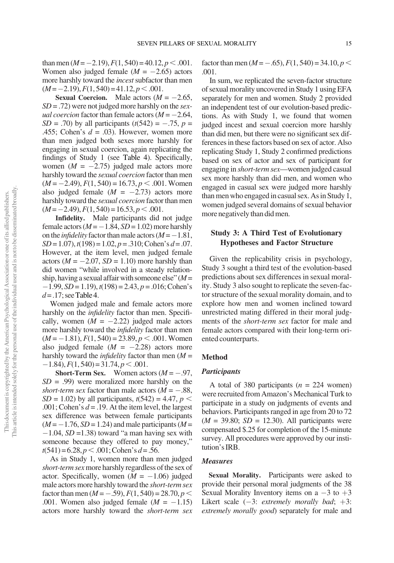than men  $(M=-2.19)$ ,  $F(1, 540) = 40.12$ ,  $p < .001$ . Women also judged female  $(M = -2.65)$  actors more harshly toward the *incest* subfactor than men  $(M=-2.19), F(1, 540) = 41.12, p < .001.$ 

**Sexual Coercion.** Male actors  $(M = -2.65$ ,  $SD = .72$ ) were not judged more harshly on the sexual coercion factor than female actors ( $M = -2.64$ ,  $SD = .70$ ) by all participants  $(t(542) = -.75, p =$ .455; Cohen's  $d = .03$ ). However, women more than men judged both sexes more harshly for engaging in sexual coercion, again replicating the findings of Study 1 (see Table 4). Specifically, women ( $M = -2.75$ ) judged male actors more harshly toward the *sexual coercion* factor than men  $(M = -2.49), F(1, 540) = 16.73, p < .001$ . Women also judged female  $(M = -2.73)$  actors more harshly toward the *sexual coercion* factor than men  $(M=-2.49), F(1, 540) = 16.53, p < .001.$ <br>Infidelity. Male participants did

Male participants did not judge female actors ( $M = -1.84$ ,  $SD = 1.02$ ) more harshly on the *infidelity* factor than male actors  $(M=-1.81,$  $SD = 1.07$ ),  $t(198) = 1.02$ ,  $p = .310$ ; Cohen's  $d = .07$ . However, at the item level, men judged female actors ( $M = -2.07$ ,  $SD = 1.10$ ) more harshly than did women "while involved in a steady relationship, having a sexual affair with someone else"  $(M=$  $-1.99$ ,  $SD = 1.19$ ),  $t(198) = 2.43$ ,  $p = .016$ ; Cohen's  $d = 0.17$ ; see Table 4.

Women judged male and female actors more harshly on the *infidelity* factor than men. Specifically, women  $(M = -2.22)$  judged male actors more harshly toward the *infidelity* factor than men  $(M = -1.81), F(1, 540) = 23.89, p < .001$ . Women also judged female  $(M = -2.28)$  actors more harshly toward the *infidelity* factor than men  $(M =$  $-1.84$ ,  $F(1, 540) = 31.74$ ,  $p < .001$ .

**Short-Term Sex.** Women actors  $(M = -.97,$  $SD = .99$ ) were moralized more harshly on the short-term sex factor than male actors  $(M = -.88,$  $SD = 1.02$ ) by all participants,  $t(542) = 4.47$ ,  $p <$ .001; Cohen's  $d = .19$ . At the item level, the largest sex difference was between female participants  $(M = -1.76, SD = 1.24)$  and male participants  $(M =$  $-1.04$ , SD = 1.38) toward "a man having sex with someone because they offered to pay money,'  $t(541) = 6.28, p < .001$ ; Cohen's d = .56.

As in Study 1, women more than men judged short-term sex more harshly regardless of the sex of actor. Specifically, women  $(M = -1.06)$  judged male actors more harshly toward the *short-term sex* factor than men ( $M = -.59$ ),  $F(1, 540) = 28.70, p <$ .001. Women also judged female  $(M = -1.15)$ actors more harshly toward the short-term sex factor than men ( $M = -.65$ ),  $F(1, 540) = 34.10, p <$ .001.

In sum, we replicated the seven-factor structure of sexual morality uncovered in Study 1 using EFA separately for men and women. Study 2 provided an independent test of our evolution-based predictions. As with Study 1, we found that women judged incest and sexual coercion more harshly than did men, but there were no significant sex differences in these factors based on sex of actor. Also replicating Study 1, Study 2 confirmed predictions based on sex of actor and sex of participant for engaging in short-term sex—women judged casual sex more harshly than did men, and women who engaged in casual sex were judged more harshly than men who engaged in casual sex. As in Study 1, women judged several domains of sexual behavior more negatively than did men.

#### Study 3: A Third Test of Evolutionary Hypotheses and Factor Structure

Given the replicability crisis in psychology, Study 3 sought a third test of the evolution-based predictions about sex differences in sexual morality. Study 3 also sought to replicate the seven-factor structure of the sexual morality domain, and to explore how men and women inclined toward unrestricted mating differed in their moral judgments of the short-term sex factor for male and female actors compared with their long-term oriented counterparts.

#### Method

#### **Participants**

A total of 380 participants ( $n = 224$  women) were recruited from Amazon's Mechanical Turk to participate in a study on judgments of events and behaviors. Participants ranged in age from 20 to 72  $(M = 39.80; SD = 12.30)$ . All participants were compensated \$.25 for completion of the 15-minute survey. All procedures were approved by our institution's IRB.

#### Measures

Sexual Morality. Participants were asked to provide their personal moral judgments of the 38 Sexual Morality Inventory items on a  $-3$  to  $+3$ Likert scale  $(-3:$  *extremely morally bad*;  $+3:$ extremely morally good) separately for male and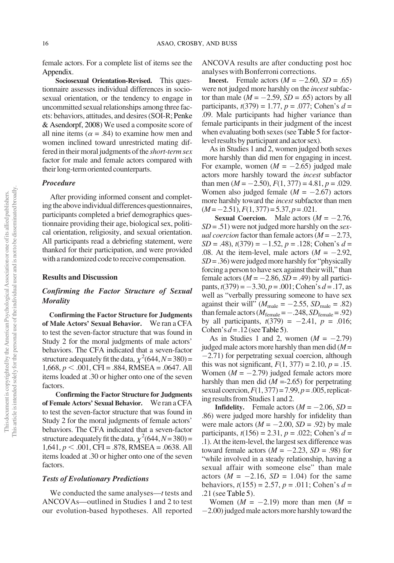female actors. For a complete list of items see the Appendix.

Sociosexual Orientation-Revised. This questionnaire assesses individual differences in sociosexual orientation, or the tendency to engage in uncommitted sexual relationships among three facets: behaviors, attitudes, and desires (SOI-R; Penke & Asendorpf, 2008) We used a composite score of all nine items ( $\alpha$  = .84) to examine how men and women inclined toward unrestricted mating differed in their moral judgments of the *short-term sex* factor for male and female actors compared with their long-term oriented counterparts.

#### Procedure

After providing informed consent and completing the above individual differences questionnaires, participants completed a brief demographics questionnaire providing their age, biological sex, political orientation, religiosity, and sexual orientation. All participants read a debriefing statement, were thanked for their participation, and were provided with a randomized code to receive compensation.

#### Results and Discussion

#### Confirming the Factor Structure of Sexual **Morality**

Confirming the Factor Structure for Judgments of Male Actors' Sexual Behavior. We ran a CFA to test the seven-factor structure that was found in Study 2 for the moral judgments of male actors' behaviors. The CFA indicated that a seven-factor structure adequately fit the data,  $\chi^2$ (644, N = 380) =  $1,668, p < .001, \text{CFI} = .884, \text{RMSEA} = .0647. \text{ All}$ items loaded at .30 or higher onto one of the seven factors.

Confirming the Factor Structure for Judgments of Female Actors' Sexual Behavior. We ran a CFA to test the seven-factor structure that was found in Study 2 for the moral judgments of female actors' behaviors. The CFA indicated that a seven-factor structure adequately fit the data,  $\chi^2$ (644, N = 380) =  $1,641, p \le .001$ , CFI = .878, RMSEA = .0638. All items loaded at .30 or higher onto one of the seven factors.

#### Tests of Evolutionary Predictions

We conducted the same analyses—t tests and ANCOVAs—outlined in Studies 1 and 2 to test our evolution-based hypotheses. All reported ANCOVA results are after conducting post hoc analyses with Bonferroni corrections.

**Incest.** Female actors  $(M = -2.60, SD = .65)$ were not judged more harshly on the *incest* subfactor than male ( $M = -2.59$ ,  $SD = .65$ ) actors by all participants,  $t(379) = 1.77$ ,  $p = .077$ ; Cohen's  $d =$ .09. Male participants had higher variance than female participants in their judgment of the incest when evaluating both sexes (see Table 5 for factorlevel results by participant and actor sex).

As in Studies 1 and 2, women judged both sexes more harshly than did men for engaging in incest. For example, women  $(M = -2.65)$  judged male actors more harshly toward the incest subfactor than men ( $M = -2.50$ ),  $F(1, 377) = 4.81$ ,  $p = .029$ . Women also judged female  $(M = -2.67)$  actors more harshly toward the *incest* subfactor than men  $(M=-2.51), F(1, 377) = 5.37, p = .021.$ 

**Sexual Coercion.** Male actors  $(M = -2.76$ ,  $SD = .51$ ) were not judged more harshly on the sexual coercion factor than female actors ( $M = -2.73$ ,  $SD = .48$ ),  $t(379) = -1.52$ ,  $p = .128$ ; Cohen's  $d =$ .08. At the item-level, male actors  $(M = -2.92)$ ,  $SD = .36$ ) were judged more harshly for "physically forcing a person to have sex against their will," than female actors  $(M = -2.86, SD = .49)$  by all participants,  $t(379) = -3.30$ ,  $p = .001$ ; Cohen's  $d = .17$ , as well as "verbally pressuring someone to have sex against their will" ( $M_{\text{male}} = -2.55$ ,  $SD_{\text{male}} = .82$ ) than female actors  $(M_{\text{female}}=-.248, SD_{\text{female}}=.92)$ by all participants,  $t(379) = -2.41$ ,  $p = .016$ ; Cohen's  $d = .12$  (see Table 5).

As in Studies 1 and 2, women  $(M = -2.79)$ judged male actors more harshly than men did  $(M =$  $-2.71$ ) for perpetrating sexual coercion, although this was not significant,  $F(1, 377) = 2.10, p = .15$ . Women  $(M = -2.79)$  judged female actors more harshly than men did  $(M = -2.65)$  for perpetrating sexual coercion,  $F(1, 377) = 7.99$ ,  $p = .005$ , replicating results from Studies 1 and 2.

**Infidelity.** Female actors  $(M = -2.06, SD =$ .86) were judged more harshly for infidelity than were male actors  $(M = -2.00, SD = .92)$  by male participants,  $t(156) = 2.31$ ,  $p = .022$ ; Cohen's  $d =$ .1). At the item-level, the largest sex difference was toward female actors  $(M = -2.23, SD = .98)$  for "while involved in a steady relationship, having a sexual affair with someone else" than male actors  $(M = -2.16, SD = 1.04)$  for the same behaviors,  $t(155) = 2.57$ ,  $p = .011$ ; Cohen's  $d =$ .21 (see Table 5).

Women  $(M = -2.19)$  more than men  $(M =$  $-2.00$ ) judged male actors more harshly toward the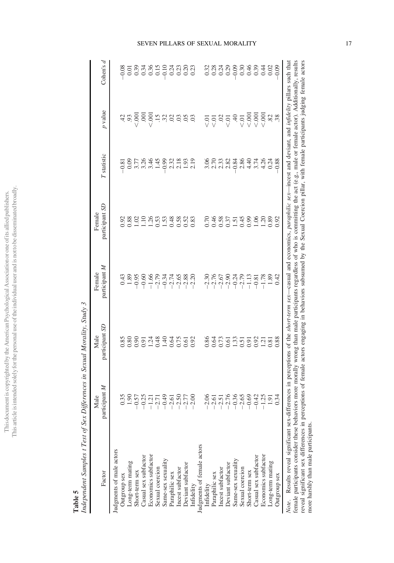| Factor                                                                                                                                                                                                                                                                                                                                                                                                                                                                                                                                                                          | participant M<br>Male | participant SD<br>Male     | participant M<br>Female                                       | participant SD<br>Female               | <b>T</b> statistic | p value               | Cohen's $d$                                                                                                                                                                                                                                                                                 |
|---------------------------------------------------------------------------------------------------------------------------------------------------------------------------------------------------------------------------------------------------------------------------------------------------------------------------------------------------------------------------------------------------------------------------------------------------------------------------------------------------------------------------------------------------------------------------------|-----------------------|----------------------------|---------------------------------------------------------------|----------------------------------------|--------------------|-----------------------|---------------------------------------------------------------------------------------------------------------------------------------------------------------------------------------------------------------------------------------------------------------------------------------------|
| Judgments of male actors                                                                                                                                                                                                                                                                                                                                                                                                                                                                                                                                                        |                       |                            |                                                               |                                        |                    |                       |                                                                                                                                                                                                                                                                                             |
| Outgroup sex                                                                                                                                                                                                                                                                                                                                                                                                                                                                                                                                                                    | 0.35                  | 0.85                       |                                                               | 0.92                                   | $-0.81$            |                       |                                                                                                                                                                                                                                                                                             |
|                                                                                                                                                                                                                                                                                                                                                                                                                                                                                                                                                                                 | 1.90                  |                            |                                                               |                                        |                    | $\ddot{5}$            |                                                                                                                                                                                                                                                                                             |
| Long-term mating<br>Short-term sex                                                                                                                                                                                                                                                                                                                                                                                                                                                                                                                                              | $-0.57$               | 0.80                       |                                                               |                                        | $0.09$<br>3.77     | $\frac{1}{2}$         |                                                                                                                                                                                                                                                                                             |
| Casual sex subfactor                                                                                                                                                                                                                                                                                                                                                                                                                                                                                                                                                            | $-0.25$               |                            | $0.43$<br>$-1.89$<br>$-0.60$<br>$-1.60$<br>$-1.79$<br>$-1.79$ | $0.88$<br>$0.128$<br>$0.533$<br>$0.48$ | 3.36               | $\ddot{\mathbf{S}}$   |                                                                                                                                                                                                                                                                                             |
| Economics subfactor                                                                                                                                                                                                                                                                                                                                                                                                                                                                                                                                                             |                       | $0.91$<br>$1.24$<br>$0.48$ |                                                               |                                        |                    | $\frac{1}{2}$         |                                                                                                                                                                                                                                                                                             |
| Sexual coercion                                                                                                                                                                                                                                                                                                                                                                                                                                                                                                                                                                 | $-1.21$<br>$-2.71$    |                            |                                                               |                                        | 1.45               | $\frac{15}{2}$        |                                                                                                                                                                                                                                                                                             |
| Same-sex sexuality                                                                                                                                                                                                                                                                                                                                                                                                                                                                                                                                                              | $-0.49$               | 1.40                       |                                                               |                                        | $-0.99$            | $\ddot{3}$            |                                                                                                                                                                                                                                                                                             |
| Paraphilic sex                                                                                                                                                                                                                                                                                                                                                                                                                                                                                                                                                                  | $-2.61$               | 0.64                       | $-2.74$                                                       |                                        | 2.32               | $\widetilde{\omega}$  |                                                                                                                                                                                                                                                                                             |
| Incest subfactor                                                                                                                                                                                                                                                                                                                                                                                                                                                                                                                                                                | $-2.50$               |                            | $-2.65$                                                       |                                        |                    |                       |                                                                                                                                                                                                                                                                                             |
| Deviant subfactor                                                                                                                                                                                                                                                                                                                                                                                                                                                                                                                                                               | $-2.77$               | 0.75                       | $-2.88$                                                       | 0.52                                   | $2.18$<br>1.93     | S.<br>S.              |                                                                                                                                                                                                                                                                                             |
| Infidelity                                                                                                                                                                                                                                                                                                                                                                                                                                                                                                                                                                      | 2.00                  | 0.92                       | $-2.20$                                                       | 0.83                                   | 2.19               | $\ddot{\circ}$        |                                                                                                                                                                                                                                                                                             |
|                                                                                                                                                                                                                                                                                                                                                                                                                                                                                                                                                                                 |                       |                            |                                                               |                                        |                    |                       |                                                                                                                                                                                                                                                                                             |
| Judgments of female actors<br>Infidelity                                                                                                                                                                                                                                                                                                                                                                                                                                                                                                                                        | $-2.06$               | 0.86                       | $-2.30$                                                       | 0.70                                   |                    |                       |                                                                                                                                                                                                                                                                                             |
|                                                                                                                                                                                                                                                                                                                                                                                                                                                                                                                                                                                 | $-2.61$               |                            | $-2.76$                                                       | 0.46                                   | 8 R R<br>3 N N     |                       |                                                                                                                                                                                                                                                                                             |
| Paraphilic sex<br>Incest subfactor                                                                                                                                                                                                                                                                                                                                                                                                                                                                                                                                              | $-2.51$               | 0.64                       | $-2.67$                                                       | 0.58                                   |                    |                       |                                                                                                                                                                                                                                                                                             |
| Deviant subfactor                                                                                                                                                                                                                                                                                                                                                                                                                                                                                                                                                               | $-2.76$               | 0.61                       | $-2.90$                                                       |                                        | 2.82               |                       |                                                                                                                                                                                                                                                                                             |
| Same-sex sexuality                                                                                                                                                                                                                                                                                                                                                                                                                                                                                                                                                              | $-0.36$               | 1.33                       |                                                               | 37<br>0.51438<br>0.500                 | $-0.84$            | 55857                 | $\begin{array}{c} 0.8840 \\ 0.9900 \\ 0.0000 \\ 0.0000 \\ 0.0000 \\ 0.0000 \\ 0.0000 \\ 0.0000 \\ 0.0000 \\ 0.0000 \\ 0.0000 \\ 0.0000 \\ 0.0000 \\ 0.0000 \\ 0.0000 \\ 0.0000 \\ 0.0000 \\ 0.0000 \\ 0.0000 \\ 0.0000 \\ 0.0000 \\ 0.0000 \\ 0.0000 \\ 0.0000 \\ 0.0000 \\ 0.0000 \\ 0.00$ |
| Sexual coercion                                                                                                                                                                                                                                                                                                                                                                                                                                                                                                                                                                 | $-2.65$               | 0.51                       |                                                               |                                        | $2.86$<br>4.40     | $\lesssim 01$         |                                                                                                                                                                                                                                                                                             |
| Short-term sex                                                                                                                                                                                                                                                                                                                                                                                                                                                                                                                                                                  | $-0.69$               | 0.91                       |                                                               |                                        |                    | $\leq 001$            |                                                                                                                                                                                                                                                                                             |
| Casual sex subfactor                                                                                                                                                                                                                                                                                                                                                                                                                                                                                                                                                            | $-0.42$               | 0.92                       | $-2,79$<br>$-2,79$<br>$-1,13$<br>$-1,78$<br>$-1,78$           |                                        | 3.74               | $\frac{0.001}{0.001}$ |                                                                                                                                                                                                                                                                                             |
| Economics subfactor                                                                                                                                                                                                                                                                                                                                                                                                                                                                                                                                                             | $-1.25$               | $\frac{1.21}{0.81}$        |                                                               | 1.20                                   | 4.26               |                       |                                                                                                                                                                                                                                                                                             |
| Long-term mating                                                                                                                                                                                                                                                                                                                                                                                                                                                                                                                                                                | 1.91                  |                            | $1.89$<br>0.42                                                | 0.89                                   | 0.24               | $\frac{82}{38}$       |                                                                                                                                                                                                                                                                                             |
| Outgroup sex                                                                                                                                                                                                                                                                                                                                                                                                                                                                                                                                                                    | 0.34                  | 0.88                       |                                                               | 0.92                                   | 0.88               |                       | 0.09                                                                                                                                                                                                                                                                                        |
| female participants consider these behaviors more morally wrong than male participants regardless of who is committing the act (e.g., male or female actor). Additionally, results<br>Note. Results reveal significant sex-differences in perceptions of the <i>short-term sex</i> —casual and economics, <i>paraphilic sex</i> —incest and deviant, and <i>infidelity</i> pillars such that<br>reveal significant sex differences in perceptions of female actors engaging in behaviors subsumed by the Sexual Coercion pillar, with female participants judging female actors |                       |                            |                                                               |                                        |                    |                       |                                                                                                                                                                                                                                                                                             |

Independent Samples t Test of Sex Differences in Sexual Morality, Study 3 Independent Samples t Test of Sex Differences in Sexual Morality, Study 3 Table 5 L SEVEN PILLARS OF SEXUAL MORALITY 17

more harshly than male participants.

more harshly than male participants.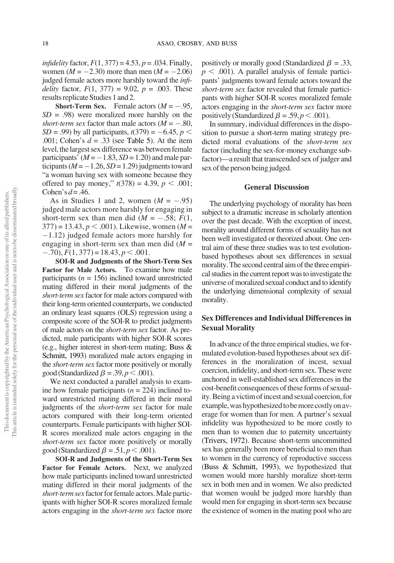*infidelity factor,*  $F(1, 377) = 4.53$ *,*  $p = .034$ *. Finally,* women ( $M = -2.30$ ) more than men ( $M = -2.06$ ) judged female actors more harshly toward the infi*delity* factor,  $F(1, 377) = 9.02$ ,  $p = .003$ . These results replicate Studies 1 and 2.

**Short-Term Sex.** Female actors  $(M = -.95,$  $SD = .98$ ) were moralized more harshly on the short-term sex factor than male actors  $(M = -.80,$  $SD = .99$ ) by all participants,  $t(379) = -6.45$ ,  $p <$ .001; Cohen's  $d = .33$  (see Table 5). At the item level, the largest sex difference was between female participants' ( $M = -1.83$ ,  $SD = 1.20$ ) and male participants ( $M = -1.26$ ,  $SD = 1.29$ ) judgments toward "a woman having sex with someone because they offered to pay money,"  $t(378) = 4.39, p < .001;$ Cohen's  $d = .46$ .

As in Studies 1 and 2, women  $(M = -.95)$ judged male actors more harshly for engaging in short-term sex than men did ( $M = -.58$ ;  $F(1,$  $377$ ) = 13.43,  $p < .001$ ). Likewise, women (M =  $-1.12$ ) judged female actors more harshly for engaging in short-term sex than men did  $(M =$  $-0.70$ ,  $F(1, 377) = 18.43$ ,  $p < .001$ .

SOI-R and Judgments of the Short-Term Sex Factor for Male Actors. To examine how male participants ( $n = 156$ ) inclined toward unrestricted mating differed in their moral judgments of the short-term sex factor for male actors compared with their long-term oriented counterparts, we conducted an ordinary least squares (OLS) regression using a composite score of the SOI-R to predict judgments of male actors on the short-term sex factor. As predicted, male participants with higher SOI-R scores (e.g., higher interest in short-term mating; Buss & Schmitt, 1993) moralized male actors engaging in the short-term sex factor more positively or morally good (Standardized  $\beta = 0.39, p < 0.001$ ).

We next conducted a parallel analysis to examine how female participants ( $n = 224$ ) inclined toward unrestricted mating differed in their moral judgments of the *short-term sex* factor for male actors compared with their long-term oriented counterparts. Female participants with higher SOI-R scores moralized male actors engaging in the short-term sex factor more positively or morally good (Standardized  $\beta = .51, p < .001$ ).

SOI-R and Judgments of the Short-Term Sex Factor for Female Actors. Next, we analyzed how male participants inclined toward unrestricted mating differed in their moral judgments of the short-term sex factor for female actors. Male participants with higher SOI-R scores moralized female actors engaging in the short-term sex factor more

positively or morally good (Standardized  $\beta = 0.33$ ,  $p < .001$ ). A parallel analysis of female participants' judgments toward female actors toward the short-term sex factor revealed that female participants with higher SOI-R scores moralized female actors engaging in the short-term sex factor more positively (Standardized  $\beta = .59, p < .001$ ).

In summary, individual differences in the disposition to pursue a short-term mating strategy predicted moral evaluations of the *short-term sex* factor (including the sex-for-money exchange subfactor)—a result that transcended sex of judger and sex of the person being judged.

#### General Discussion

The underlying psychology of morality has been subject to a dramatic increase in scholarly attention over the past decade. With the exception of incest, morality around different forms of sexuality has not been well investigated or theorized about. One central aim of these three studies was to test evolutionbased hypotheses about sex differences in sexual morality. The second central aim of the three empirical studies in the current report was to investigate the universe of moralized sexual conduct and to identify the underlying dimensional complexity of sexual morality.

#### Sex Differences and Individual Differences in Sexual Morality

In advance of the three empirical studies, we formulated evolution-based hypotheses about sex differences in the moralization of incest, sexual coercion, infidelity, and short-term sex. These were anchored in well-established sex differences in the cost-benefit consequences of these forms of sexuality. Being a victim of incest and sexual coercion, for example, was hypothesized to be more costly on average for women than for men. A partner's sexual infidelity was hypothesized to be more costly to men than to women due to paternity uncertainty (Trivers, 1972). Because short-term uncommitted sex has generally been more beneficial to men than to women in the currency of reproductive success (Buss & Schmitt, 1993), we hypothesized that women would more harshly moralize short-term sex in both men and in women. We also predicted that women would be judged more harshly than would men for engaging in short-term sex because the existence of women in the mating pool who are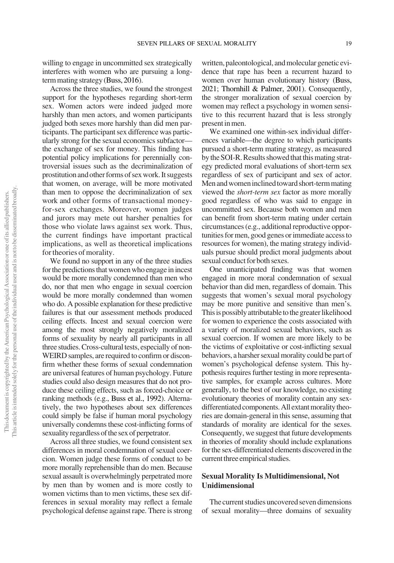willing to engage in uncommitted sex strategically interferes with women who are pursuing a longtermmating strategy (Buss, 2016).

Across the three studies, we found the strongest support for the hypotheses regarding short-term sex. Women actors were indeed judged more harshly than men actors, and women participants judged both sexes more harshly than did men participants. The participant sex difference was particularly strong for the sexual economics subfactor the exchange of sex for money. This finding has potential policy implications for perennially controversial issues such as the decriminalization of prostitution and other forms of sex work. It suggests that women, on average, will be more motivated than men to oppose the decriminalization of sex work and other forms of transactional moneyfor-sex exchanges. Moreover, women judges and jurors may mete out harsher penalties for those who violate laws against sex work. Thus, the current findings have important practical implications, as well as theoretical implications for theories of morality.

We found no support in any of the three studies for the predictions that women who engage in incest would be more morally condemned than men who do, nor that men who engage in sexual coercion would be more morally condemned than women who do. A possible explanation for these predictive failures is that our assessment methods produced ceiling effects. Incest and sexual coercion were among the most strongly negatively moralized forms of sexuality by nearly all participants in all three studies. Cross-cultural tests, especially of non-WEIRD samples, are required to confirm or disconfirm whether these forms of sexual condemnation are universal features of human psychology. Future studies could also design measures that do not produce these ceiling effects, such as forced-choice or ranking methods (e.g., Buss et al., 1992). Alternatively, the two hypotheses about sex differences could simply be false if human moral psychology universally condemns these cost-inflicting forms of sexuality regardless of the sex of perpetrator.

Across all three studies, we found consistent sex differences in moral condemnation of sexual coercion. Women judge these forms of conduct to be more morally reprehensible than do men. Because sexual assault is overwhelmingly perpetrated more by men than by women and is more costly to women victims than to men victims, these sex differences in sexual morality may reflect a female psychological defense against rape. There is strong

written, paleontological, and molecular genetic evidence that rape has been a recurrent hazard to women over human evolutionary history (Buss, 2021; Thornhill & Palmer, 2001). Consequently, the stronger moralization of sexual coercion by women may reflect a psychology in women sensitive to this recurrent hazard that is less strongly present in men.

We examined one within-sex individual differences variable—the degree to which participants pursued a short-term mating strategy, as measured by the SOI-R. Results showed that this mating strategy predicted moral evaluations of short-term sex regardless of sex of participant and sex of actor. Men and women inclined toward short-term mating viewed the short-term sex factor as more morally good regardless of who was said to engage in uncommitted sex. Because both women and men can benefit from short-term mating under certain circumstances (e.g., additional reproductive opportunities for men, good genes orimmediate access to resources for women), the mating strategy individuals pursue should predict moral judgments about sexual conduct for both sexes.

One unanticipated finding was that women engaged in more moral condemnation of sexual behavior than did men, regardless of domain. This suggests that women's sexual moral psychology may be more punitive and sensitive than men's. This is possibly attributable to the greater likelihood for women to experience the costs associated with a variety of moralized sexual behaviors, such as sexual coercion. If women are more likely to be the victims of exploitative or cost-inflicting sexual behaviors, a harsher sexual morality could be part of women's psychological defense system. This hypothesis requires further testing in more representative samples, for example across cultures. More generally, to the best of our knowledge, no existing evolutionary theories of morality contain any sexdifferentiated components. All extant morality theories are domain-general in this sense, assuming that standards of morality are identical for the sexes. Consequently, we suggest that future developments in theories of morality should include explanations for the sex-differentiated elements discovered in the current three empirical studies.

#### Sexual Morality Is Multidimensional, Not Unidimensional

The current studies uncovered seven dimensions of sexual morality—three domains of sexuality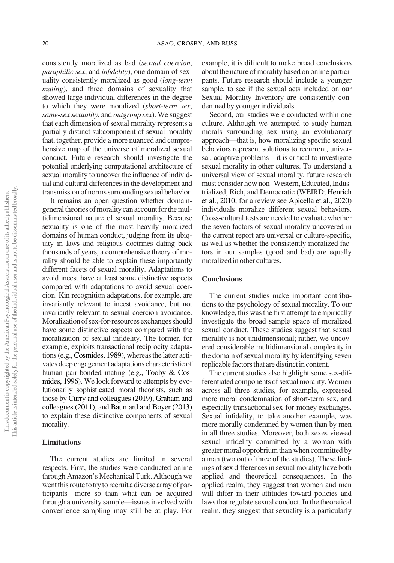consistently moralized as bad (sexual coercion, paraphilic sex, and infidelity), one domain of sexuality consistently moralized as good (long-term mating), and three domains of sexuality that showed large individual differences in the degree to which they were moralized (short-term sex, same-sex sexuality, and outgroup sex). We suggest that each dimension of sexual morality represents a partially distinct subcomponent of sexual morality that, together, provide a more nuanced and comprehensive map of the universe of moralized sexual conduct. Future research should investigate the potential underlying computational architecture of sexual morality to uncover the influence of individual and cultural differences in the development and transmission of norms surrounding sexual behavior.

It remains an open question whether domaingeneral theories of morality can account for the multidimensional nature of sexual morality. Because sexuality is one of the most heavily moralized domains of human conduct, judging from its ubiquity in laws and religious doctrines dating back thousands of years, a comprehensive theory of morality should be able to explain these importantly different facets of sexual morality. Adaptations to avoid incest have at least some distinctive aspects compared with adaptations to avoid sexual coercion. Kin recognition adaptations, for example, are invariantly relevant to incest avoidance, but not invariantly relevant to sexual coercion avoidance. Moralization of sex-for-resources exchanges should have some distinctive aspects compared with the moralization of sexual infidelity. The former, for example, exploits transactional reciprocity adaptations (e.g.,Cosmides, 1989), whereas the latter activates deep engagement adaptations characteristic of human pair-bonded mating (e.g., Tooby & Cosmides, 1996). We look forward to attempts by evolutionarily sophisticated moral theorists, such as those by Curry and colleagues (2019), Graham and colleagues (2011), and Baumard and Boyer (2013) to explain these distinctive components of sexual morality.

#### Limitations

The current studies are limited in several respects. First, the studies were conducted online through Amazon's Mechanical Turk. Although we went this route to try to recruit a diverse array of participants—more so than what can be acquired through a university sample—issues involved with convenience sampling may still be at play. For example, it is difficult to make broad conclusions about the nature of morality based on online participants. Future research should include a younger sample, to see if the sexual acts included on our Sexual Morality Inventory are consistently condemned by younger individuals.

Second, our studies were conducted within one culture. Although we attempted to study human morals surrounding sex using an evolutionary approach—that is, how moralizing specific sexual behaviors represent solutions to recurrent, universal, adaptive problems—it is critical to investigate sexual morality in other cultures. To understand a universal view of sexual morality, future research must consider how non–Western, Educated, Industrialized, Rich, and Democratic (WEIRD; Henrich et al., 2010; for a review see Apicella et al., 2020) individuals moralize different sexual behaviors. Cross-cultural tests are needed to evaluate whether the seven factors of sexual morality uncovered in the current report are universal or culture-specific, as well as whether the consistently moralized factors in our samples (good and bad) are equally moralized in other cultures.

#### **Conclusions**

The current studies make important contributions to the psychology of sexual morality. To our knowledge, this was the first attempt to empirically investigate the broad sample space of moralized sexual conduct. These studies suggest that sexual morality is not unidimensional; rather, we uncovered considerable multidimensional complexity in the domain of sexual morality by identifying seven replicable factors that are distinct in content.

The current studies also highlight some sex-differentiated components of sexual morality. Women across all three studies, for example, expressed more moral condemnation of short-term sex, and especially transactional sex-for-money exchanges. Sexual infidelity, to take another example, was more morally condemned by women than by men in all three studies. Moreover, both sexes viewed sexual infidelity committed by a woman with greater moral opprobrium than when committed by a man (two out of three of the studies). These findings of sex differences in sexual morality have both applied and theoretical consequences. In the applied realm, they suggest that women and men will differ in their attitudes toward policies and laws that regulate sexual conduct. In the theoretical realm, they suggest that sexuality is a particularly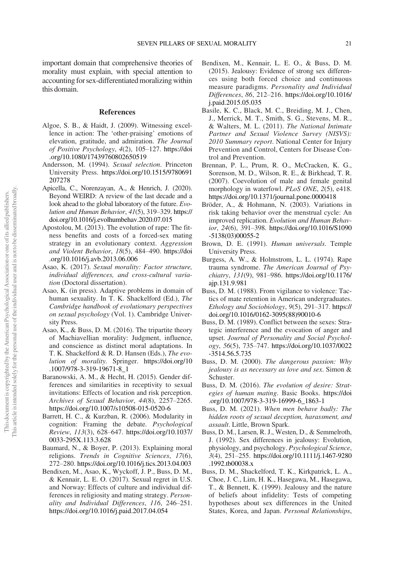important domain that comprehensive theories of morality must explain, with special attention to accounting for sex-differentiated moralizing within this domain.

#### References

- Algoe, S. B., & Haidt, J. (2009). Witnessing excellence in action: The 'other-praising' emotions of elevation, gratitude, and admiration. The Journal of Positive Psychology, 4(2), 105–127. [https://doi](https://doi.org/10.1080/17439760802650519) [.org/10.1080/17439760802650519](https://doi.org/10.1080/17439760802650519)
- Andersson, M. (1994). Sexual selection. Princeton University Press. [https://doi.org/10.1515/9780691](https://doi.org/10.1515/9780691207278) [207278](https://doi.org/10.1515/9780691207278)
- Apicella, C., Norenzayan, A., & Henrich, J. (2020). Beyond WEIRD: A review of the last decade and a look ahead to the global laboratory of the future. Evolution and Human Behavior, 41(5), 319–329. [https://](https://doi.org/10.1016/j.evolhumbehav.2020.07.015) [doi.org/10.1016/j.evolhumbehav.2020.07.015](https://doi.org/10.1016/j.evolhumbehav.2020.07.015)
- Apostolou, M. (2013). The evolution of rape: The fitness benefits and costs of a forced-sex mating strategy in an evolutionary context. Aggression and Violent Behavior, 18(5), 484–490. [https://doi](https://doi.org/10.1016/j.avb.2013.06.006) [.org/10.1016/j.avb.2013.06.006](https://doi.org/10.1016/j.avb.2013.06.006)
- Asao, K. (2017). Sexual morality: Factor structure, individual differences, and cross-cultural variation (Doctoral dissertation).
- Asao, K. (in press). Adaptive problems in domain of human sexuality. In T. K. Shackelford (Ed.), The Cambridge handbook of evolutionary perspectives on sexual psychology (Vol. 1). Cambridge University Press.
- Asao, K., & Buss, D. M. (2016). The tripartite theory of Machiavellian morality: Judgment, influence, and conscience as distinct moral adaptations. In T. K. Shackelford & R. D. Hansen (Eds.), The evolution of morality. Springer. [https://doi.org/10](https://doi.org/10.1007/978-3-319-19671-8_1) [.1007/978-3-319-19671-8\\_1](https://doi.org/10.1007/978-3-319-19671-8_1)
- Baranowski, A. M., & Hecht, H. (2015). Gender differences and similarities in receptivity to sexual invitations: Effects of location and risk perception. Archives of Sexual Behavior, 44(8), 2257–2265. <https://doi.org/10.1007/s10508-015-0520-6>
- Barrett, H. C., & Kurzban, R. (2006). Modularity in cognition: Framing the debate. Psychological Review, 113(3), 628–647. [https://doi.org/10.1037/](https://doi.org/10.1037/0033-295X.113.3.628) [0033-295X.113.3.628](https://doi.org/10.1037/0033-295X.113.3.628)
- Baumard, N., & Boyer, P. (2013). Explaining moral religions. Trends in Cognitive Sciences, 17(6), 272–280. <https://doi.org/10.1016/j.tics.2013.04.003>
- Bendixen, M., Asao, K., Wyckoff, J. P., Buss, D. M., & Kennair, L. E. O. (2017). Sexual regret in U.S. and Norway: Effects of culture and individual differences in religiosity and mating strategy. Personality and Individual Differences, 116, 246–251. <https://doi.org/10.1016/j.paid.2017.04.054>
- Bendixen, M., Kennair, L. E. O., & Buss, D. M. (2015). Jealousy: Evidence of strong sex differences using both forced choice and continuous measure paradigms. Personality and Individual Differences, 86, 212–216. [https://doi.org/10.1016/](https://doi.org/10.1016/j.paid.2015.05.035) [j.paid.2015.05.035](https://doi.org/10.1016/j.paid.2015.05.035)
- Basile, K. C., Black, M. C., Breiding, M. J., Chen, J., Merrick, M. T., Smith, S. G., Stevens, M. R., & Walters, M. L. (2011). The National Intimate Partner and Sexual Violence Survey (NISVS): 2010 Summary report. National Center for Injury Prevention and Control, Centers for Disease Control and Prevention.
- Brennan, P. L., Prum, R. O., McCracken, K. G., Sorenson, M. D., Wilson, R. E., & Birkhead, T. R. (2007). Coevolution of male and female genital morphology in waterfowl. PLoS ONE, 2(5), e418. <https://doi.org/10.1371/journal.pone.0000418>
- Bröder, A., & Hohmann, N. (2003). Variations in risk taking behavior over the menstrual cycle: An improved replication. Evolution and Human Behavior, 24(6), 391–398. [https://doi.org/10.1016/S1090](https://doi.org/10.1016/S1090-5138(03)00055-2) [-5138\(03\)00055-2](https://doi.org/10.1016/S1090-5138(03)00055-2)
- Brown, D. E. (1991). Human universals. Temple University Press.
- Burgess, A. W., & Holmstrom, L. L. (1974). Rape trauma syndrome. The American Journal of Psychiatry, 131(9), 981–986. [https://doi.org/10.1176/](https://doi.org/10.1176/ajp.131.9.981) [ajp.131.9.981](https://doi.org/10.1176/ajp.131.9.981)
- Buss, D. M. (1988). From vigilance to violence: Tactics of mate retention in American undergraduates. Ethology and Sociobiology, 9(5), 291–317. [https://](https://doi.org/10.1016/0162-3095(88)90010-6) [doi.org/10.1016/0162-3095\(88\)90010-6](https://doi.org/10.1016/0162-3095(88)90010-6)
- Buss, D. M. (1989). Conflict between the sexes: Strategic interference and the evocation of anger and upset. Journal of Personality and Social Psychology, 56(5), 735–747. [https://doi.org/10.1037/0022](https://doi.org/10.1037/0022-3514.56.5.735) [-3514.56.5.735](https://doi.org/10.1037/0022-3514.56.5.735)
- Buss, D. M. (2000). The dangerous passion: Why jealousy is as necessary as love and sex. Simon & Schuster.
- Buss, D. M. (2016). The evolution of desire: Strategies of human mating. Basic Books. [https://doi](https://doi.org/10.1007/978-3-319-16999-6_1863-1) [.org/10.1007/978-3-319-16999-6\\_1863-1](https://doi.org/10.1007/978-3-319-16999-6_1863-1)
- Buss, D. M. (2021). When men behave badly: The hidden roots of sexual deception, harassment, and assault. Little, Brown Spark.
- Buss, D. M., Larsen, R. J., Westen, D., & Semmelroth, J. (1992). Sex differences in jealousy: Evolution, physiology, and psychology. Psychological Science, 3(4), 251–255. [https://doi.org/10.1111/j.1467-9280](https://doi.org/10.1111/j.1467-9280.1992.tb00038.x) [.1992.tb00038.x](https://doi.org/10.1111/j.1467-9280.1992.tb00038.x)
- Buss, D. M., Shackelford, T. K., Kirkpatrick, L. A., Choe, J. C., Lim, H. K., Hasegawa, M., Hasegawa, T., & Bennett, K. (1999). Jealousy and the nature of beliefs about infidelity: Tests of competing hypotheses about sex differences in the United States, Korea, and Japan. Personal Relationships,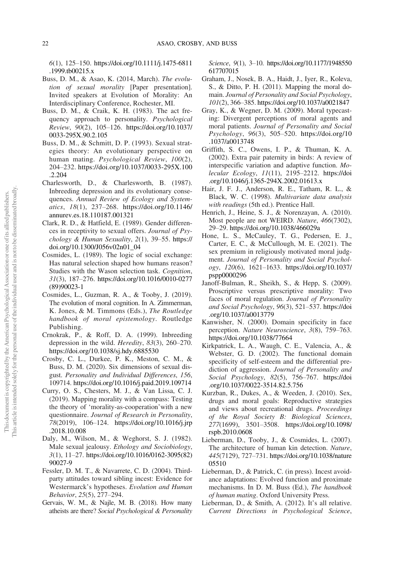6(1), 125–150. [https://doi.org/10.1111/j.1475-6811](https://doi.org/10.1111/j.1475-6811.1999.tb00215.x) [.1999.tb00215.x](https://doi.org/10.1111/j.1475-6811.1999.tb00215.x)

- Buss, D. M., & Asao, K. (2014, March). The evolution of sexual morality [Paper presentation]. Invited speakers at Evolution of Morality: An Interdisciplinary Conference, Rochester, MI.
- Buss, D. M., & Craik, K. H. (1983). The act frequency approach to personality. Psychological Review, 90(2), 105–126. [https://doi.org/10.1037/](https://doi.org/10.1037/0033-295X.90.2.105) [0033-295X.90.2.105](https://doi.org/10.1037/0033-295X.90.2.105)
- Buss, D. M., & Schmitt, D. P. (1993). Sexual strategies theory: An evolutionary perspective on human mating. Psychological Review, 100(2), 204–232. [https://doi.org/10.1037/0033-295X.100](https://doi.org/10.1037/0033-295X.100.2.204) [.2.204](https://doi.org/10.1037/0033-295X.100.2.204)
- Charlesworth, D., & Charlesworth, B. (1987). Inbreeding depression and its evolutionary consequences. Annual Review of Ecology and Systematics, 18(1), 237–268. [https://doi.org/10.1146/](https://doi.org/10.1146/annurev.es.18.110187.001321) [annurev.es.18.110187.001321](https://doi.org/10.1146/annurev.es.18.110187.001321)
- Clark, R. D., & Hatfield, E. (1989). Gender differences in receptivity to sexual offers. Journal of Psychology & Human Sexuality, 2(1), 39–55. [https://](https://doi.org/10.1300/J056v02n01_04) [doi.org/10.1300/J056v02n01\\_04](https://doi.org/10.1300/J056v02n01_04)
- Cosmides, L. (1989). The logic of social exchange: Has natural selection shaped how humans reason? Studies with the Wason selection task. Cognition, 31(3), 187–276. [https://doi.org/10.1016/0010-0277](https://doi.org/10.1016/0010-0277(89)90023-1) [\(89\)90023-1](https://doi.org/10.1016/0010-0277(89)90023-1)
- Cosmides, L., Guzman, R. A., & Tooby, J. (2019). The evolution of moral cognition. In A. Zimmerman, K. Jones, & M. Timmons (Eds.), The Routledge handbook of moral epistemology. Routledge Publishing.
- Crnokrak, P., & Roff, D. A. (1999). Inbreeding depression in the wild. Heredity, 83(3), 260–270. <https://doi.org/10.1038/sj.hdy.6885530>
- Crosby, C. L., Durkee, P. K., Meston, C. M., & Buss, D. M. (2020). Six dimensions of sexual disgust. Personality and Individual Differences, 156, 109714. <https://doi.org/10.1016/j.paid.2019.109714>
- Curry, O. S., Chesters, M. J., & Van Lissa, C. J. (2019). Mapping morality with a compass: Testing the theory of 'morality-as-cooperation'with a new questionnaire. Journal of Research in Personality, 78(2019), 106–124. [https://doi.org/10.1016/j.jrp](https://doi.org/10.1016/j.jrp.2018.10.008) [.2018.10.008](https://doi.org/10.1016/j.jrp.2018.10.008)
- Daly, M., Wilson, M., & Weghorst, S. J. (1982). Male sexual jealousy. Ethology and Sociobiology, 3(1), 11–27. [https://doi.org/10.1016/0162-3095\(82\)](https://doi.org/10.1016/0162-3095(82)90027-9) [90027-9](https://doi.org/10.1016/0162-3095(82)90027-9)
- Fessler, D. M. T., & Navarrete, C. D. (2004). Thirdparty attitudes toward sibling incest: Evidence for Westermarck's hypotheses. Evolution and Human Behavior, 25(5), 277–294.
- Gervais, W. M., & Najle, M. B. (2018). How many atheists are there? Social Psychological & Personality

Science, 9(1), 3–10. [https://doi.org/10.1177/1948550](https://doi.org/10.1177/1948550617707015) [617707015](https://doi.org/10.1177/1948550617707015)

- Graham, J., Nosek, B. A., Haidt, J., Iyer, R., Koleva, S., & Ditto, P. H. (2011). Mapping the moral domain. Journal of Personality and Social Psychology, 101(2), 366–385. <https://doi.org/10.1037/a0021847>
- Gray, K., & Wegner, D. M. (2009). Moral typecasting: Divergent perceptions of moral agents and moral patients. Journal of Personality and Social Psychology, 96(3), 505–520. [https://doi.org/10](https://doi.org/10.1037/a0013748) [.1037/a0013748](https://doi.org/10.1037/a0013748)
- Griffith, S. C., Owens, I. P., & Thuman, K. A. (2002). Extra pair paternity in birds: A review of interspecific variation and adaptive function. Molecular Ecology, 11(11), 2195–2212. [https://doi](https://doi.org/10.1046/j.1365-294X.2002.01613.x) [.org/10.1046/j.1365-294X.2002.01613.x](https://doi.org/10.1046/j.1365-294X.2002.01613.x)
- Hair, J. F. J., Anderson, R. E., Tatham, R. L., & Black, W. C. (1998). Multivariate data analysis with readings (5th ed.). Prentice Hall.
- Henrich, J., Heine, S. J., & Norenzayan, A. (2010). Most people are not WEIRD. Nature, 466(7302), 29–29. <https://doi.org/10.1038/466029a>
- Hone, L. S., McCauley, T. G., Pedersen, E. J., Carter, E. C., & McCullough, M. E. (2021). The sex premium in religiously motivated moral judgment. Journal of Personality and Social Psychology, 120(6), 1621–1633. [https://doi.org/10.1037/](https://doi.org/10.1037/pspp0000296) [pspp0000296](https://doi.org/10.1037/pspp0000296)
- Janoff-Bulman, R., Sheikh, S., & Hepp, S. (2009). Proscriptive versus prescriptive morality: Two faces of moral regulation. Journal of Personality and Social Psychology, 96(3), 521–537. [https://doi](https://doi.org/10.1037/a0013779) [.org/10.1037/a0013779](https://doi.org/10.1037/a0013779)
- Kanwisher, N. (2000). Domain specificity in face perception. Nature Neuroscience, 3(8), 759–763. <https://doi.org/10.1038/77664>
- Kirkpatrick, L. A., Waugh, C. E., Valencia, A., & Webster, G. D. (2002). The functional domain specificity of self-esteem and the differential prediction of aggression. Journal of Personality and Social Psychology, 82(5), 756-767. [https://doi](https://doi.org/10.1037/0022-3514.82.5.756) [.org/10.1037/0022-3514.82.5.756](https://doi.org/10.1037/0022-3514.82.5.756)
- Kurzban, R., Dukes, A., & Weeden, J. (2010). Sex, drugs and moral goals: Reproductive strategies and views about recreational drugs. Proceedings of the Royal Society B: Biological Sciences, 277(1699), 3501–3508. [https://doi.org/10.1098/](https://doi.org/10.1098/rspb.2010.0608) [rspb.2010.0608](https://doi.org/10.1098/rspb.2010.0608)
- Lieberman, D., Tooby, J., & Cosmides, L. (2007). The architecture of human kin detection. Nature, 445(7129), 727–731. [https://doi.org/10.1038/nature](https://doi.org/10.1038/nature05510) [05510](https://doi.org/10.1038/nature05510)
- Lieberman, D., & Patrick, C. (in press). Incest avoidance adaptations: Evolved function and proximate mechanisms. In D. M. Buss (Ed.), The handbook of human mating. Oxford University Press.
- Lieberman, D., & Smith, A. (2012). It's all relative. Current Directions in Psychological Science,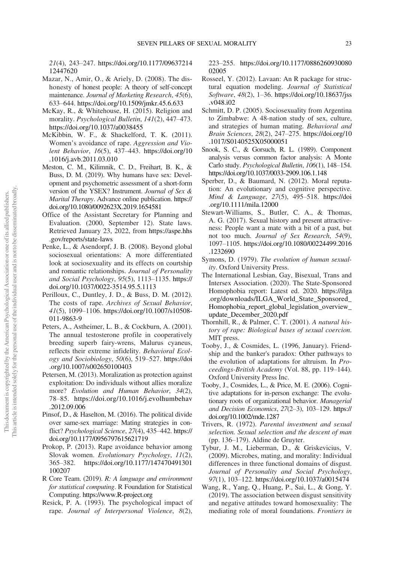21(4), 243–247. [https://doi.org/10.1177/09637214](https://doi.org/10.1177/0963721412447620) [12447620](https://doi.org/10.1177/0963721412447620)

- Mazar, N., Amir, O., & Ariely, D. (2008). The dishonesty of honest people: A theory of self-concept maintenance. Journal of Marketing Research, 45(6), 633–644. <https://doi.org/10.1509/jmkr.45.6.633>
- McKay, R., & Whitehouse, H. (2015). Religion and morality. *Psychological Bulletin*, 141(2), 447–473. <https://doi.org/10.1037/a0038455>
- McKibbin, W. F., & Shackelford, T. K. (2011). Women's avoidance of rape. Aggression and Violent Behavior, 16(5), 437–443. [https://doi.org/10](https://doi.org/10.1016/j.avb.2011.03.010) [.1016/j.avb.2011.03.010](https://doi.org/10.1016/j.avb.2011.03.010)
- Meston, C. M., Kilimnik, C. D., Freihart, B. K., & Buss, D. M. (2019). Why humans have sex: Development and psychometric assessment of a short-form version of the YSEX? Instrument. Journal of Sex & Marital Therapy. Advance online publication. [https://](https://doi.org/10.1080/0092623X.2019.1654581) [doi.org/10.1080/0092623X.2019.1654581](https://doi.org/10.1080/0092623X.2019.1654581)
- Office of the Assistant Secretary for Planning and Evaluation. (2000, September 12). State laws. Retrieved January 23, 2022, from [https://aspe.hhs](https://aspe.hhs.gov/reports/state-laws) [.gov/reports/state-laws](https://aspe.hhs.gov/reports/state-laws)
- Penke, L., & Asendorpf, J. B. (2008). Beyond global sociosexual orientations: A more differentiated look at sociosexuality and its effects on courtship and romantic relationships. Journal of Personality and Social Psychology, 95(5), 1113–1135. [https://](https://doi.org/10.1037/0022-3514.95.5.1113) [doi.org/10.1037/0022-3514.95.5.1113](https://doi.org/10.1037/0022-3514.95.5.1113)
- Perilloux, C., Duntley, J. D., & Buss, D. M. (2012). The costs of rape. Archives of Sexual Behavior, 41(5), 1099–1106. [https://doi.org/10.1007/s10508-](https://doi.org/10.1007/s10508-011-9863-9) [011-9863-9](https://doi.org/10.1007/s10508-011-9863-9)
- Peters, A., Astheimer, L. B., & Cockburn, A. (2001). The annual testosterone profile in cooperatively breeding superb fairy-wrens, Malurus cyaneus, reflects their extreme infidelity. Behavioral Ecology and Sociobiology, 50(6), 519–527. [https://doi](https://doi.org/10.1007/s002650100403) [.org/10.1007/s002650100403](https://doi.org/10.1007/s002650100403)
- Petersen, M. (2013). Moralization as protection against exploitation: Do individuals without allies moralize more? Evolution and Human Behavior, 34(2), 78–85. [https://doi.org/10.1016/j.evolhumbehav](https://doi.org/10.1016/j.evolhumbehav.2012.09.006) [.2012.09.006](https://doi.org/10.1016/j.evolhumbehav.2012.09.006)
- Pinsof, D., & Haselton, M. (2016). The political divide over same-sex marriage: Mating strategies in conflict? Psychological Science, 27(4), 435–442. [https://](https://doi.org/10.1177/0956797615621719) [doi.org/10.1177/0956797615621719](https://doi.org/10.1177/0956797615621719)
- Prokop, P. (2013). Rape avoidance behavior among Slovak women. Evolutionary Psychology, 11(2), 365–382. [https://doi.org/10.1177/147470491301](https://doi.org/10.1177/147470491301100207) [100207](https://doi.org/10.1177/147470491301100207)
- R Core Team. (2019). R: A language and environment for statistical computing. R Foundation for Statistical Computing. <https://www.R-project.org>
- Resick, P. A. (1993). The psychological impact of rape. Journal of Interpersonal Violence, 8(2),

223–255. [https://doi.org/10.1177/0886260930080](https://doi.org/10.1177/088626093008002005) [02005](https://doi.org/10.1177/088626093008002005)

- Rosseel, Y. (2012). Lavaan: An R package for structural equation modeling. Journal of Statistical Software, 48(2), 1–36. [https://doi.org/10.18637/jss](https://doi.org/10.18637/jss.v048.i02) [.v048.i02](https://doi.org/10.18637/jss.v048.i02)
- Schmitt, D. P. (2005). Sociosexuality from Argentina to Zimbabwe: A 48-nation study of sex, culture, and strategies of human mating. Behavioral and Brain Sciences, 28(2), 247–275. [https://doi.org/10](https://doi.org/10.1017/S0140525X05000051) [.1017/S0140525X05000051](https://doi.org/10.1017/S0140525X05000051)
- Snook, S. C., & Gorsuch, R. L. (1989). Component analysis versus common factor analysis: A Monte Carlo study. Psychological Bulletin, 106(1), 148–154. <https://doi.org/10.1037/0033-2909.106.1.148>
- Sperber, D., & Baumard, N. (2012). Moral reputation: An evolutionary and cognitive perspective. Mind & Language, 27(5), 495–518. [https://doi](https://doi.org/10.1111/mila.12000) [.org/10.1111/mila.12000](https://doi.org/10.1111/mila.12000)
- Stewart-Williams, S., Butler, C. A., & Thomas, A. G. (2017). Sexual history and present attractiveness: People want a mate with a bit of a past, but not too much. Journal of Sex Research, 54(9), 1097–1105. [https://doi.org/10.1080/00224499.2016](https://doi.org/10.1080/00224499.2016.1232690) [.1232690](https://doi.org/10.1080/00224499.2016.1232690)
- Symons, D. (1979). The evolution of human sexuality. Oxford University Press.
- The International Lesbian, Gay, Bisexual, Trans and Intersex Association. (2020). The State-Sponsored Homophobia report: Latest ed. 2020. [https://ilga](https://ilga.org/downloads/ILGA_World_State_Sponsored_Homophobia_report_global_legislation_overview_update_December_2020.pdf) [.org/downloads/ILGA\\_World\\_State\\_Sponsored\\_](https://ilga.org/downloads/ILGA_World_State_Sponsored_Homophobia_report_global_legislation_overview_update_December_2020.pdf) [Homophobia\\_report\\_global\\_legislation\\_overview\\_](https://ilga.org/downloads/ILGA_World_State_Sponsored_Homophobia_report_global_legislation_overview_update_December_2020.pdf) [update\\_December\\_2020.pdf](https://ilga.org/downloads/ILGA_World_State_Sponsored_Homophobia_report_global_legislation_overview_update_December_2020.pdf)
- Thornhill, R., & Palmer, C. T. (2001). A natural history of rape: Biological bases of sexual coercion. MIT press.
- Tooby, J., & Cosmides, L. (1996, January). Friendship and the banker's paradox: Other pathways to the evolution of adaptations for altruism. In Proceedings-British Academy (Vol. 88, pp. 119–144). Oxford University Press Inc.
- Tooby, J., Cosmides, L., & Price, M. E. (2006). Cognitive adaptations for in-person exchange: The evolutionary roots of organizational behavior. Managerial and Decision Economics, 27(2–3), 103–129. [https://](https://doi.org/10.1002/mde.1287) [doi.org/10.1002/mde.1287](https://doi.org/10.1002/mde.1287)
- Trivers, R. (1972). Parental investment and sexual selection. Sexual selection and the descent of man (pp. 136–179). Aldine de Gruyter.
- Tybur, J. M., Lieberman, D., & Griskevicius, V. (2009). Microbes, mating, and morality: Individual differences in three functional domains of disgust. Journal of Personality and Social Psychology, 97(1), 103–122. <https://doi.org/10.1037/a0015474>
- Wang, R., Yang, Q., Huang, P., Sai, L., & Gong, Y. (2019). The association between disgust sensitivity and negative attitudes toward homosexuality: The mediating role of moral foundations. Frontiers in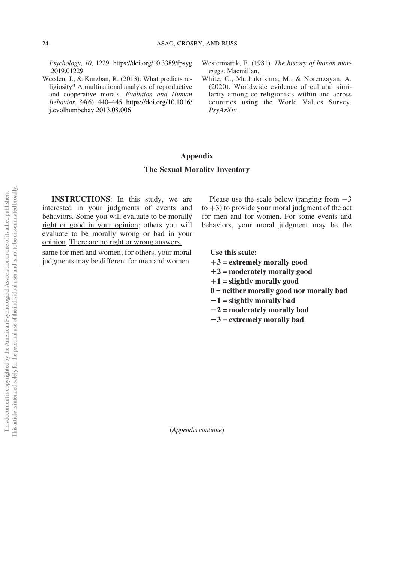Psychology, 10, 1229. [https://doi.org/10.3389/fpsyg](https://doi.org/10.3389/fpsyg.2019.01229) [.2019.01229](https://doi.org/10.3389/fpsyg.2019.01229)

- Weeden, J., & Kurzban, R. (2013). What predicts religiosity? A multinational analysis of reproductive and cooperative morals. Evolution and Human Behavior, 34(6), 440–445. [https://doi.org/10.1016/](https://doi.org/10.1016/j.evolhumbehav.2013.08.006) [j.evolhumbehav.2013.08.006](https://doi.org/10.1016/j.evolhumbehav.2013.08.006)
- Westermarck, E. (1981). The history of human marriage. Macmillan.
- White, C., Muthukrishna, M., & Norenzayan, A. (2020). Worldwide evidence of cultural similarity among co-religionists within and across countries using the World Values Survey. PsyArXiv.

### Appendix

#### The Sexual Morality Inventory

INSTRUCTIONS: In this study, we are interested in your judgments of events and behaviors. Some you will evaluate to be morally right or good in your opinion; others you will evaluate to be morally wrong or bad in your opinion. There are no right or wrong answers.

same for men and women; for others, your moral judgments may be different for men and women.

Please use the scale below (ranging from  $-3$ to  $+3$ ) to provide your moral judgment of the act for men and for women. For some events and behaviors, your moral judgment may be the

Use this scale:  $+3$  = extremely morally good  $+2$  = moderately morally good

- $+1$  = slightly morally good
- $0 =$  neither morally good nor morally bad
- $-1$  = slightly morally bad
- $-2$  = moderately morally bad
- $-3$  = extremely morally bad

(Appendix continue)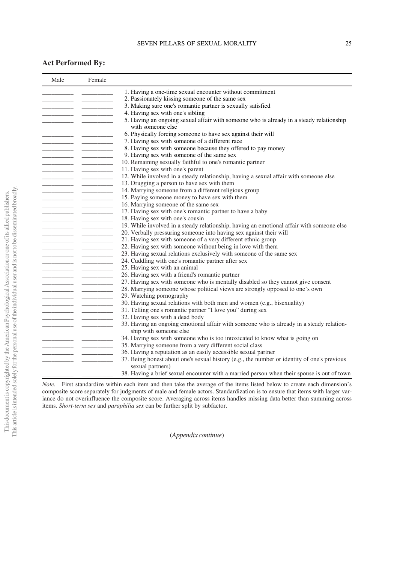#### SEVEN PILLARS OF SEXUAL MORALITY 25

#### Act Performed By:

| Male | Female                                            |                                                                                                              |
|------|---------------------------------------------------|--------------------------------------------------------------------------------------------------------------|
|      | $\overline{\phantom{a}}$ $\overline{\phantom{a}}$ | 1. Having a one-time sexual encounter without commitment                                                     |
|      |                                                   | 2. Passionately kissing someone of the same sex                                                              |
|      |                                                   | 3. Making sure one's romantic partner is sexually satisfied                                                  |
|      |                                                   | 4. Having sex with one's sibling                                                                             |
|      |                                                   | 5. Having an ongoing sexual affair with someone who is already in a steady relationship<br>with someone else |
|      |                                                   | 6. Physically forcing someone to have sex against their will                                                 |
|      |                                                   | 7. Having sex with someone of a different race                                                               |
|      |                                                   | 8. Having sex with someone because they offered to pay money                                                 |
|      |                                                   | 9. Having sex with someone of the same sex                                                                   |
|      |                                                   | 10. Remaining sexually faithful to one's romantic partner                                                    |
|      |                                                   | 11. Having sex with one's parent                                                                             |
|      |                                                   | 12. While involved in a steady relationship, having a sexual affair with someone else                        |
|      |                                                   | 13. Drugging a person to have sex with them                                                                  |
|      |                                                   | 14. Marrying someone from a different religious group                                                        |
|      |                                                   | 15. Paying someone money to have sex with them                                                               |
|      |                                                   | 16. Marrying someone of the same sex                                                                         |
|      |                                                   | 17. Having sex with one's romantic partner to have a baby                                                    |
|      |                                                   | 18. Having sex with one's cousin                                                                             |
|      |                                                   | 19. While involved in a steady relationship, having an emotional affair with someone else                    |
|      |                                                   | 20. Verbally pressuring someone into having sex against their will                                           |
|      |                                                   | 21. Having sex with someone of a very different ethnic group                                                 |
|      |                                                   | 22. Having sex with someone without being in love with them                                                  |
|      |                                                   | 23. Having sexual relations exclusively with someone of the same sex                                         |
|      |                                                   | 24. Cuddling with one's romantic partner after sex                                                           |
|      |                                                   | 25. Having sex with an animal                                                                                |
|      |                                                   | 26. Having sex with a friend's romantic partner                                                              |
|      |                                                   | 27. Having sex with someone who is mentally disabled so they cannot give consent                             |
|      |                                                   | 28. Marrying someone whose political views are strongly opposed to one's own                                 |
|      |                                                   | 29. Watching pornography                                                                                     |
|      |                                                   | 30. Having sexual relations with both men and women (e.g., bisexuality)                                      |
|      |                                                   | 31. Telling one's romantic partner "I love you" during sex                                                   |
|      |                                                   | 32. Having sex with a dead body                                                                              |
|      |                                                   | 33. Having an ongoing emotional affair with someone who is already in a steady relation-                     |
|      |                                                   | ship with someone else                                                                                       |
|      |                                                   | 34. Having sex with someone who is too intoxicated to know what is going on                                  |
|      |                                                   | 35. Marrying someone from a very different social class                                                      |
|      |                                                   | 36. Having a reputation as an easily accessible sexual partner                                               |
|      |                                                   | 37. Being honest about one's sexual history (e.g., the number or identity of one's previous                  |
|      |                                                   | sexual partners)                                                                                             |
|      |                                                   | 38. Having a brief sexual encounter with a married person when their spouse is out of town                   |

Note. First standardize within each item and then take the average of the items listed below to create each dimension's composite score separately for judgments of male and female actors. Standardization is to ensure that items with larger variance do not overinfluence the composite score. Averaging across items handles missing data better than summing across items. Short-term sex and paraphilia sex can be further split by subfactor.

(Appendix continue)